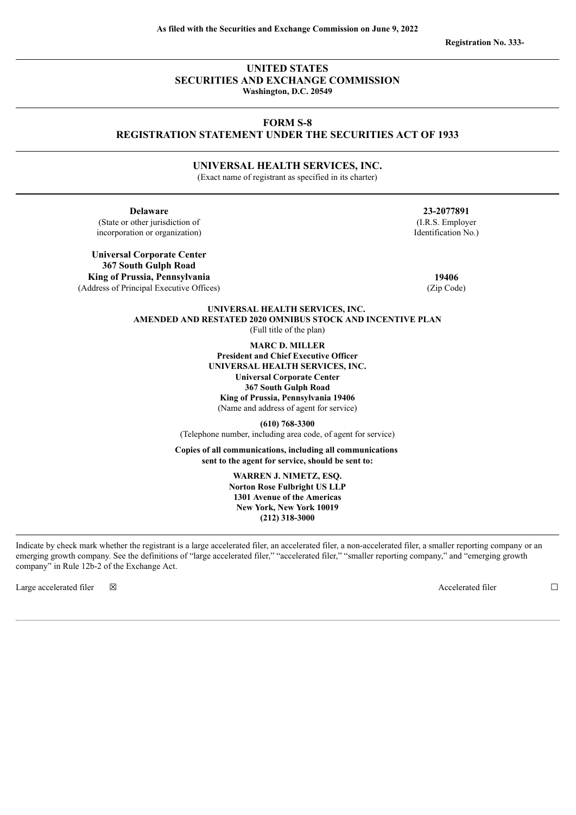**Registration No. 333-**

# **UNITED STATES SECURITIES AND EXCHANGE COMMISSION Washington, D.C. 20549**

# **FORM S-8 REGISTRATION STATEMENT UNDER THE SECURITIES ACT OF 1933**

**UNIVERSAL HEALTH SERVICES, INC.**

(Exact name of registrant as specified in its charter)

**Delaware 23-2077891** (State or other jurisdiction of incorporation or organization)

**Universal Corporate Center 367 South Gulph Road King of Prussia, Pennsylvania 19406** (Address of Principal Executive Offices) (Zip Code)

(I.R.S. Employer Identification No.)

**UNIVERSAL HEALTH SERVICES, INC. AMENDED AND RESTATED 2020 OMNIBUS STOCK AND INCENTIVE PLAN** (Full title of the plan)

**MARC D. MILLER**

**President and Chief Executive Officer UNIVERSAL HEALTH SERVICES, INC. Universal Corporate Center 367 South Gulph Road King of Prussia, Pennsylvania 19406** (Name and address of agent for service)

**(610) 768-3300** (Telephone number, including area code, of agent for service)

**Copies of all communications, including all communications sent to the agent for service, should be sent to:**

> **WARREN J. NIMETZ, ESQ. Norton Rose Fulbright US LLP 1301 Avenue of the Americas New York, New York 10019 (212) 318-3000**

Indicate by check mark whether the registrant is a large accelerated filer, an accelerated filer, a non-accelerated filer, a smaller reporting company or an emerging growth company. See the definitions of "large accelerated filer," "accelerated filer," "smaller reporting company," and "emerging growth company" in Rule 12b-2 of the Exchange Act.

Large accelerated filer ☒ Accelerated filer ☐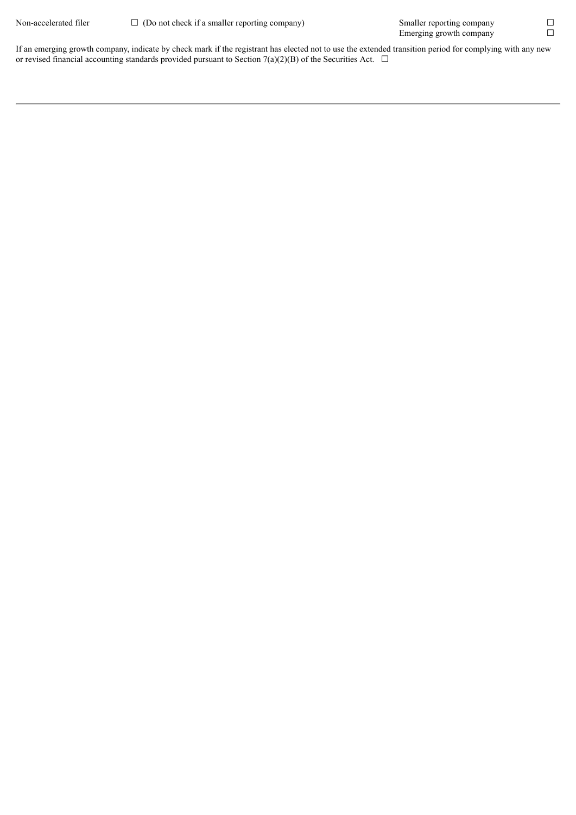If an emerging growth company, indicate by check mark if the registrant has elected not to use the extended transition period for complying with any new or revised financial accounting standards provided pursuant to Section 7(a)(2)(B) of the Securities Act.  $\Box$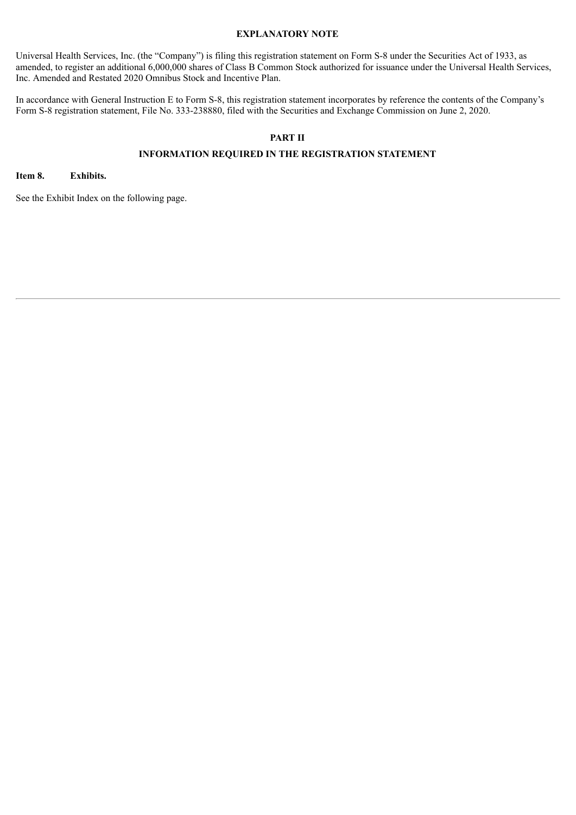# **EXPLANATORY NOTE**

Universal Health Services, Inc. (the "Company") is filing this registration statement on Form S-8 under the Securities Act of 1933, as amended, to register an additional 6,000,000 shares of Class B Common Stock authorized for issuance under the Universal Health Services, Inc. Amended and Restated 2020 Omnibus Stock and Incentive Plan.

In accordance with General Instruction E to Form S-8, this registration statement incorporates by reference the contents of the Company's Form S-8 registration statement, File No. 333-238880, filed with the Securities and Exchange Commission on June 2, 2020.

# **PART II**

# **INFORMATION REQUIRED IN THE REGISTRATION STATEMENT**

## **Item 8. Exhibits.**

See the Exhibit Index on the following page.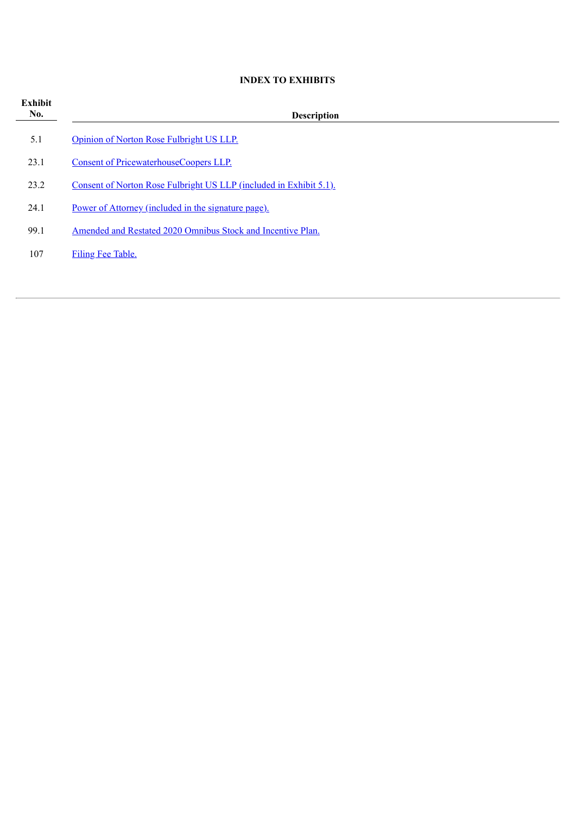# **INDEX TO EXHIBITS**

| Exhibit<br>No. | <b>Description</b>                                                 |  |  |  |  |  |  |
|----------------|--------------------------------------------------------------------|--|--|--|--|--|--|
| 5.1            | Opinion of Norton Rose Fulbright US LLP.                           |  |  |  |  |  |  |
| 23.1           | Consent of PricewaterhouseCoopers LLP.                             |  |  |  |  |  |  |
| 23.2           | Consent of Norton Rose Fulbright US LLP (included in Exhibit 5.1). |  |  |  |  |  |  |
| 24.1           | Power of Attorney (included in the signature page).                |  |  |  |  |  |  |
| 99.1           | Amended and Restated 2020 Omnibus Stock and Incentive Plan.        |  |  |  |  |  |  |
| 107            | Filing Fee Table.                                                  |  |  |  |  |  |  |
|                |                                                                    |  |  |  |  |  |  |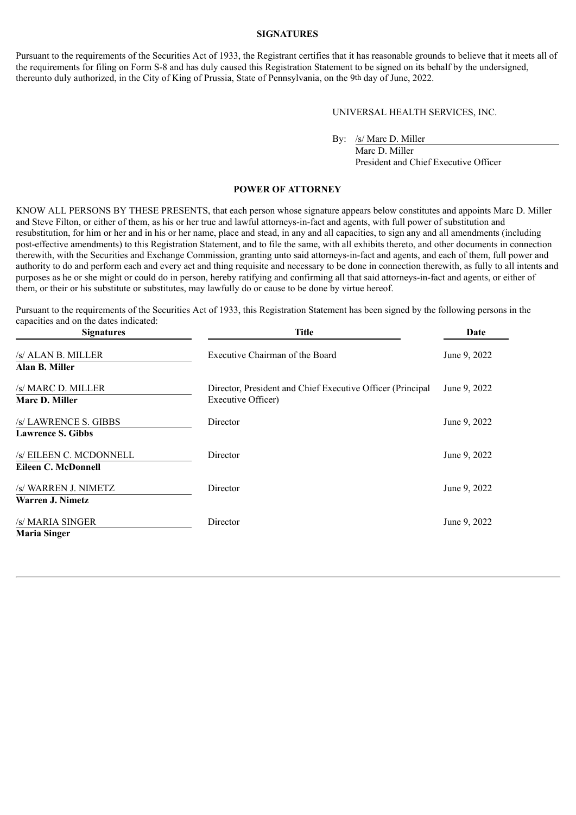#### **SIGNATURES**

Pursuant to the requirements of the Securities Act of 1933, the Registrant certifies that it has reasonable grounds to believe that it meets all of the requirements for filing on Form S-8 and has duly caused this Registration Statement to be signed on its behalf by the undersigned, thereunto duly authorized, in the City of King of Prussia, State of Pennsylvania, on the 9th day of June, 2022.

UNIVERSAL HEALTH SERVICES, INC.

By: /s/ Marc D. Miller

Marc D. Miller President and Chief Executive Officer

# **POWER OF ATTORNEY**

<span id="page-4-0"></span>KNOW ALL PERSONS BY THESE PRESENTS, that each person whose signature appears below constitutes and appoints Marc D. Miller and Steve Filton, or either of them, as his or her true and lawful attorneys-in-fact and agents, with full power of substitution and resubstitution, for him or her and in his or her name, place and stead, in any and all capacities, to sign any and all amendments (including post-effective amendments) to this Registration Statement, and to file the same, with all exhibits thereto, and other documents in connection therewith, with the Securities and Exchange Commission, granting unto said attorneys-in-fact and agents, and each of them, full power and authority to do and perform each and every act and thing requisite and necessary to be done in connection therewith, as fully to all intents and purposes as he or she might or could do in person, hereby ratifying and confirming all that said attorneys-in-fact and agents, or either of them, or their or his substitute or substitutes, may lawfully do or cause to be done by virtue hereof.

Pursuant to the requirements of the Securities Act of 1933, this Registration Statement has been signed by the following persons in the capacities and on the dates indicated:

| <b>Signatures</b>                                 | <b>Title</b>                                                                     | Date         |  |
|---------------------------------------------------|----------------------------------------------------------------------------------|--------------|--|
| /s/ ALAN B. MILLER<br>Alan B. Miller              | Executive Chairman of the Board                                                  | June 9, 2022 |  |
| /s/ MARC D. MILLER<br><b>Marc D. Miller</b>       | Director, President and Chief Executive Officer (Principal<br>Executive Officer) | June 9, 2022 |  |
| /s/ LAWRENCE S. GIBBS<br><b>Lawrence S. Gibbs</b> | Director                                                                         | June 9, 2022 |  |
| /s/ EILEEN C. MCDONNELL<br>Eileen C. McDonnell    | Director                                                                         | June 9, 2022 |  |
| /s/ WARREN J. NIMETZ<br>Warren J. Nimetz          | Director                                                                         | June 9, 2022 |  |
| /s/ MARIA SINGER<br><b>Maria Singer</b>           | Director                                                                         | June 9, 2022 |  |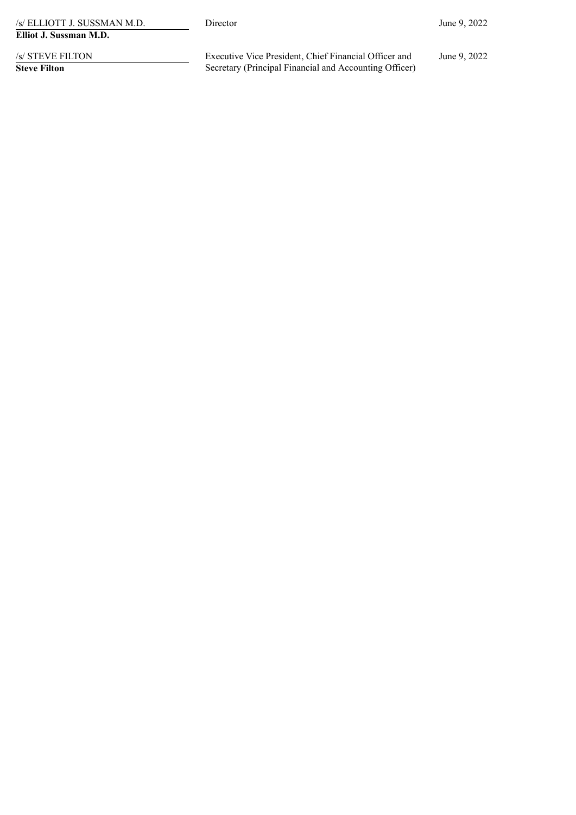| /s/ ELLIOTT J. SUSSMAN M.D. |  |  |  |  |  |  |  |  |
|-----------------------------|--|--|--|--|--|--|--|--|
| Elliot J. Sussman M.D.      |  |  |  |  |  |  |  |  |

/s/ STEVE FILTON

**Steve Filton**

Executive Vice President, Chief Financial Officer and Secretary (Principal Financial and Accounting Officer) June 9, 2022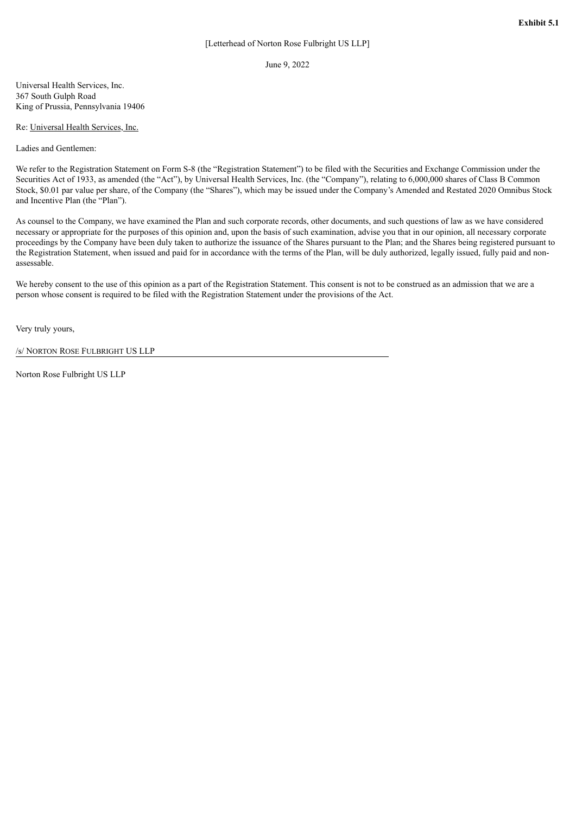June 9, 2022

<span id="page-6-0"></span>Universal Health Services, Inc. 367 South Gulph Road King of Prussia, Pennsylvania 19406

#### Re: Universal Health Services, Inc.

Ladies and Gentlemen:

We refer to the Registration Statement on Form S-8 (the "Registration Statement") to be filed with the Securities and Exchange Commission under the Securities Act of 1933, as amended (the "Act"), by Universal Health Services, Inc. (the "Company"), relating to 6,000,000 shares of Class B Common Stock, \$0.01 par value per share, of the Company (the "Shares"), which may be issued under the Company's Amended and Restated 2020 Omnibus Stock and Incentive Plan (the "Plan").

As counsel to the Company, we have examined the Plan and such corporate records, other documents, and such questions of law as we have considered necessary or appropriate for the purposes of this opinion and, upon the basis of such examination, advise you that in our opinion, all necessary corporate proceedings by the Company have been duly taken to authorize the issuance of the Shares pursuant to the Plan; and the Shares being registered pursuant to the Registration Statement, when issued and paid for in accordance with the terms of the Plan, will be duly authorized, legally issued, fully paid and nonassessable.

We hereby consent to the use of this opinion as a part of the Registration Statement. This consent is not to be construed as an admission that we are a person whose consent is required to be filed with the Registration Statement under the provisions of the Act.

Very truly yours,

/s/ NORTON ROSE FULBRIGHT US LLP

Norton Rose Fulbright US LLP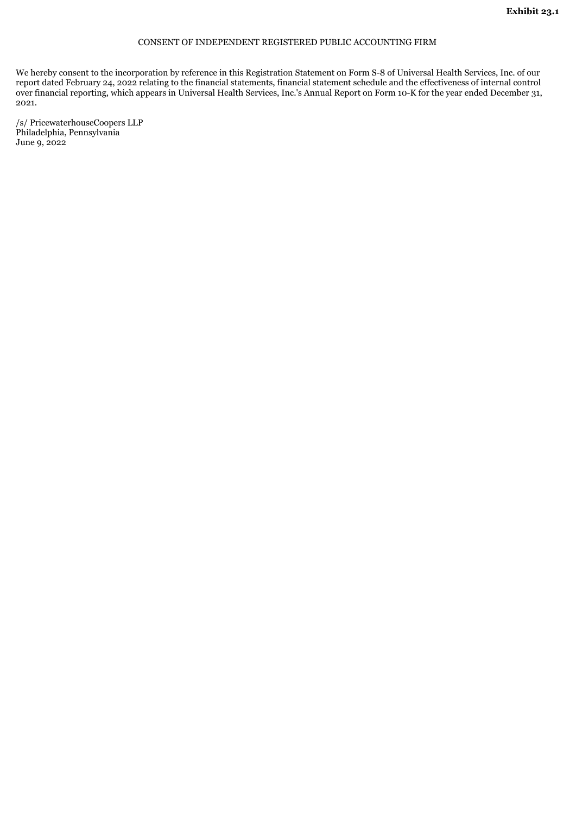# CONSENT OF INDEPENDENT REGISTERED PUBLIC ACCOUNTING FIRM

<span id="page-7-0"></span>We hereby consent to the incorporation by reference in this Registration Statement on Form S-8 of Universal Health Services, Inc. of our report dated February 24, 2022 relating to the financial statements, financial statement schedule and the effectiveness of internal control over financial reporting, which appears in Universal Health Services, Inc.'s Annual Report on Form 10-K for the year ended December 31, 2021.

/s/ PricewaterhouseCoopers LLP Philadelphia, Pennsylvania June 9, 2022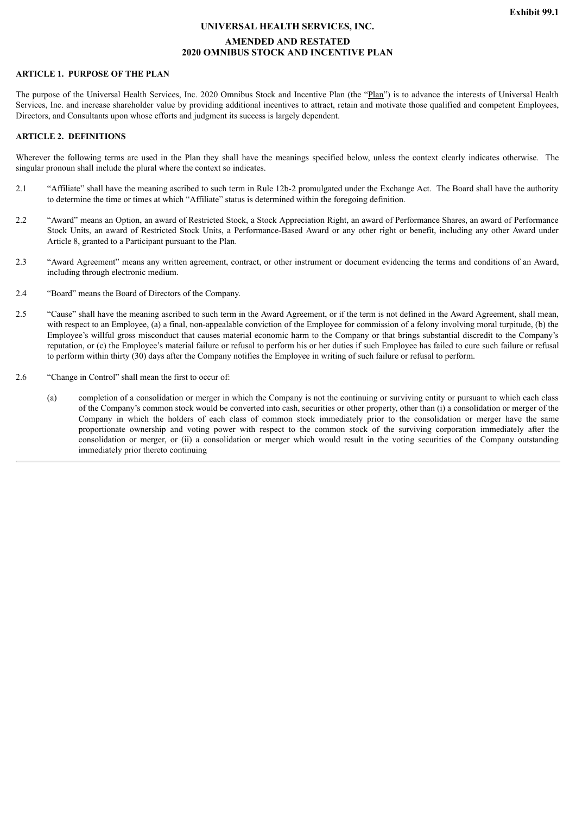#### **UNIVERSAL HEALTH SERVICES, INC.**

# **AMENDED AND RESTATED 2020 OMNIBUS STOCK AND INCENTIVE PLAN**

## <span id="page-8-0"></span>**ARTICLE 1. PURPOSE OF THE PLAN**

The purpose of the Universal Health Services, Inc. 2020 Omnibus Stock and Incentive Plan (the "Plan") is to advance the interests of Universal Health Services, Inc. and increase shareholder value by providing additional incentives to attract, retain and motivate those qualified and competent Employees, Directors, and Consultants upon whose efforts and judgment its success is largely dependent.

#### **ARTICLE 2. DEFINITIONS**

Wherever the following terms are used in the Plan they shall have the meanings specified below, unless the context clearly indicates otherwise. The singular pronoun shall include the plural where the context so indicates.

- 2.1 "Affiliate" shall have the meaning ascribed to such term in Rule 12b-2 promulgated under the Exchange Act. The Board shall have the authority to determine the time or times at which "Affiliate" status is determined within the foregoing definition.
- 2.2 "Award" means an Option, an award of Restricted Stock, a Stock Appreciation Right, an award of Performance Shares, an award of Performance Stock Units, an award of Restricted Stock Units, a Performance-Based Award or any other right or benefit, including any other Award under Article 8, granted to a Participant pursuant to the Plan.
- 2.3 "Award Agreement" means any written agreement, contract, or other instrument or document evidencing the terms and conditions of an Award, including through electronic medium.
- 2.4 "Board" means the Board of Directors of the Company.
- 2.5 "Cause" shall have the meaning ascribed to such term in the Award Agreement, or if the term is not defined in the Award Agreement, shall mean, with respect to an Employee, (a) a final, non-appealable conviction of the Employee for commission of a felony involving moral turpitude, (b) the Employee's willful gross misconduct that causes material economic harm to the Company or that brings substantial discredit to the Company's reputation, or (c) the Employee's material failure or refusal to perform his or her duties if such Employee has failed to cure such failure or refusal to perform within thirty (30) days after the Company notifies the Employee in writing of such failure or refusal to perform.
- 2.6 "Change in Control" shall mean the first to occur of:
	- (a) completion of a consolidation or merger in which the Company is not the continuing or surviving entity or pursuant to which each class of the Company's common stock would be converted into cash, securities or other property, other than (i) a consolidation or merger of the Company in which the holders of each class of common stock immediately prior to the consolidation or merger have the same proportionate ownership and voting power with respect to the common stock of the surviving corporation immediately after the consolidation or merger, or (ii) a consolidation or merger which would result in the voting securities of the Company outstanding immediately prior thereto continuing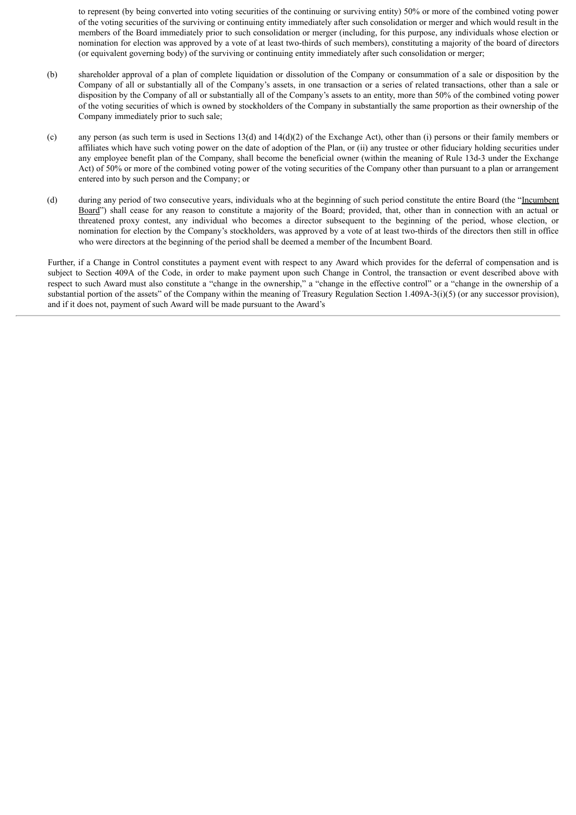to represent (by being converted into voting securities of the continuing or surviving entity) 50% or more of the combined voting power of the voting securities of the surviving or continuing entity immediately after such consolidation or merger and which would result in the members of the Board immediately prior to such consolidation or merger (including, for this purpose, any individuals whose election or nomination for election was approved by a vote of at least two-thirds of such members), constituting a majority of the board of directors (or equivalent governing body) of the surviving or continuing entity immediately after such consolidation or merger;

- (b) shareholder approval of a plan of complete liquidation or dissolution of the Company or consummation of a sale or disposition by the Company of all or substantially all of the Company's assets, in one transaction or a series of related transactions, other than a sale or disposition by the Company of all or substantially all of the Company's assets to an entity, more than 50% of the combined voting power of the voting securities of which is owned by stockholders of the Company in substantially the same proportion as their ownership of the Company immediately prior to such sale;
- (c) any person (as such term is used in Sections 13(d) and 14(d)(2) of the Exchange Act), other than (i) persons or their family members or affiliates which have such voting power on the date of adoption of the Plan, or (ii) any trustee or other fiduciary holding securities under any employee benefit plan of the Company, shall become the beneficial owner (within the meaning of Rule 13d-3 under the Exchange Act) of 50% or more of the combined voting power of the voting securities of the Company other than pursuant to a plan or arrangement entered into by such person and the Company; or
- (d) during any period of two consecutive years, individuals who at the beginning of such period constitute the entire Board (the "Incumbent Board") shall cease for any reason to constitute a majority of the Board; provided, that, other than in connection with an actual or threatened proxy contest, any individual who becomes a director subsequent to the beginning of the period, whose election, or nomination for election by the Company's stockholders, was approved by a vote of at least two-thirds of the directors then still in office who were directors at the beginning of the period shall be deemed a member of the Incumbent Board.

Further, if a Change in Control constitutes a payment event with respect to any Award which provides for the deferral of compensation and is subject to Section 409A of the Code, in order to make payment upon such Change in Control, the transaction or event described above with respect to such Award must also constitute a "change in the ownership," a "change in the effective control" or a "change in the ownership of a substantial portion of the assets" of the Company within the meaning of Treasury Regulation Section 1.409A-3(i)(5) (or any successor provision), and if it does not, payment of such Award will be made pursuant to the Award's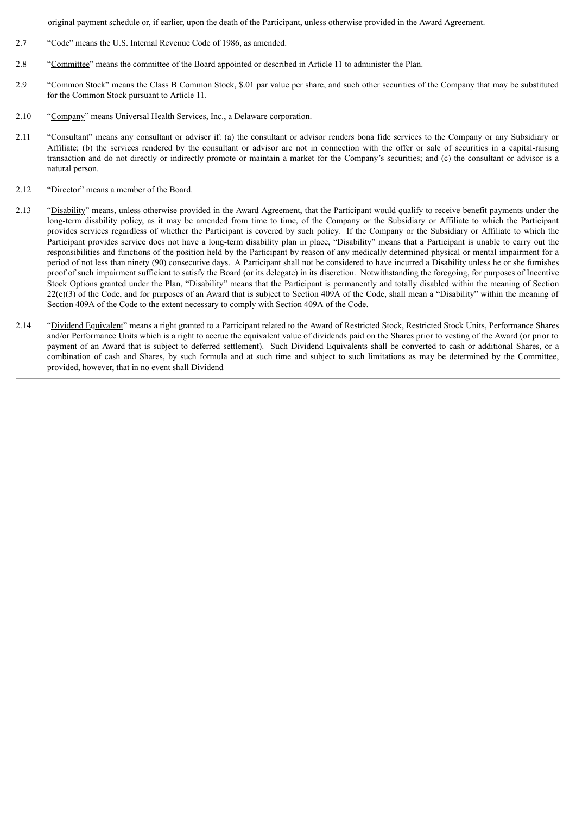original payment schedule or, if earlier, upon the death of the Participant, unless otherwise provided in the Award Agreement.

- 2.7 "Code" means the U.S. Internal Revenue Code of 1986, as amended.
- 2.8 "Committee" means the committee of the Board appointed or described in Article 11 to administer the Plan.
- 2.9 "Common Stock" means the Class B Common Stock, \$.01 par value per share, and such other securities of the Company that may be substituted for the Common Stock pursuant to Article 11.
- 2.10 "Company" means Universal Health Services, Inc., a Delaware corporation.
- 2.11 "Consultant" means any consultant or adviser if: (a) the consultant or advisor renders bona fide services to the Company or any Subsidiary or Affiliate; (b) the services rendered by the consultant or advisor are not in connection with the offer or sale of securities in a capital-raising transaction and do not directly or indirectly promote or maintain a market for the Company's securities; and (c) the consultant or advisor is a natural person.
- 2.12 "Director" means a member of the Board.
- 2.13 "Disability" means, unless otherwise provided in the Award Agreement, that the Participant would qualify to receive benefit payments under the long-term disability policy, as it may be amended from time to time, of the Company or the Subsidiary or Affiliate to which the Participant provides services regardless of whether the Participant is covered by such policy. If the Company or the Subsidiary or Affiliate to which the Participant provides service does not have a long-term disability plan in place, "Disability" means that a Participant is unable to carry out the responsibilities and functions of the position held by the Participant by reason of any medically determined physical or mental impairment for a period of not less than ninety (90) consecutive days. A Participant shall not be considered to have incurred a Disability unless he or she furnishes proof of such impairment sufficient to satisfy the Board (or its delegate) in its discretion. Notwithstanding the foregoing, for purposes of Incentive Stock Options granted under the Plan, "Disability" means that the Participant is permanently and totally disabled within the meaning of Section  $22(e)(3)$  of the Code, and for purposes of an Award that is subject to Section 409A of the Code, shall mean a "Disability" within the meaning of Section 409A of the Code to the extent necessary to comply with Section 409A of the Code.
- 2.14 "Dividend Equivalent" means a right granted to a Participant related to the Award of Restricted Stock, Restricted Stock Units, Performance Shares and/or Performance Units which is a right to accrue the equivalent value of dividends paid on the Shares prior to vesting of the Award (or prior to payment of an Award that is subject to deferred settlement). Such Dividend Equivalents shall be converted to cash or additional Shares, or a combination of cash and Shares, by such formula and at such time and subject to such limitations as may be determined by the Committee, provided, however, that in no event shall Dividend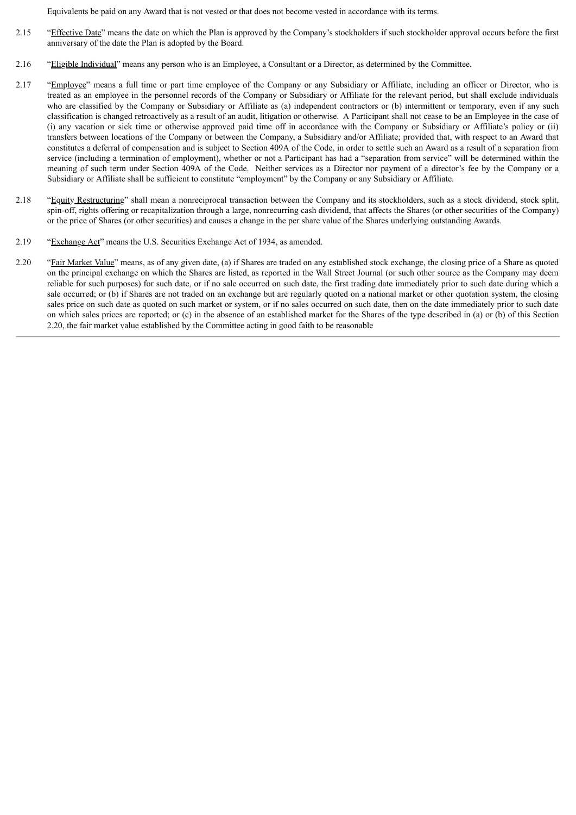Equivalents be paid on any Award that is not vested or that does not become vested in accordance with its terms.

- 2.15 "Effective Date" means the date on which the Plan is approved by the Company's stockholders if such stockholder approval occurs before the first anniversary of the date the Plan is adopted by the Board.
- 2.16 "Eligible Individual" means any person who is an Employee, a Consultant or a Director, as determined by the Committee.
- 2.17 "Employee" means a full time or part time employee of the Company or any Subsidiary or Affiliate, including an officer or Director, who is treated as an employee in the personnel records of the Company or Subsidiary or Affiliate for the relevant period, but shall exclude individuals who are classified by the Company or Subsidiary or Affiliate as (a) independent contractors or (b) intermittent or temporary, even if any such classification is changed retroactively as a result of an audit, litigation or otherwise. A Participant shall not cease to be an Employee in the case of (i) any vacation or sick time or otherwise approved paid time off in accordance with the Company or Subsidiary or Affiliate's policy or (ii) transfers between locations of the Company or between the Company, a Subsidiary and/or Affiliate; provided that, with respect to an Award that constitutes a deferral of compensation and is subject to Section 409A of the Code, in order to settle such an Award as a result of a separation from service (including a termination of employment), whether or not a Participant has had a "separation from service" will be determined within the meaning of such term under Section 409A of the Code. Neither services as a Director nor payment of a director's fee by the Company or a Subsidiary or Affiliate shall be sufficient to constitute "employment" by the Company or any Subsidiary or Affiliate.
- 2.18 "Equity Restructuring" shall mean a nonreciprocal transaction between the Company and its stockholders, such as a stock dividend, stock split, spin-off, rights offering or recapitalization through a large, nonrecurring cash dividend, that affects the Shares (or other securities of the Company) or the price of Shares (or other securities) and causes a change in the per share value of the Shares underlying outstanding Awards.
- 2.19 "Exchange Act" means the U.S. Securities Exchange Act of 1934, as amended.
- 2.20 "Fair Market Value" means, as of any given date, (a) if Shares are traded on any established stock exchange, the closing price of a Share as quoted on the principal exchange on which the Shares are listed, as reported in the Wall Street Journal (or such other source as the Company may deem reliable for such purposes) for such date, or if no sale occurred on such date, the first trading date immediately prior to such date during which a sale occurred; or (b) if Shares are not traded on an exchange but are regularly quoted on a national market or other quotation system, the closing sales price on such date as quoted on such market or system, or if no sales occurred on such date, then on the date immediately prior to such date on which sales prices are reported; or (c) in the absence of an established market for the Shares of the type described in (a) or (b) of this Section 2.20, the fair market value established by the Committee acting in good faith to be reasonable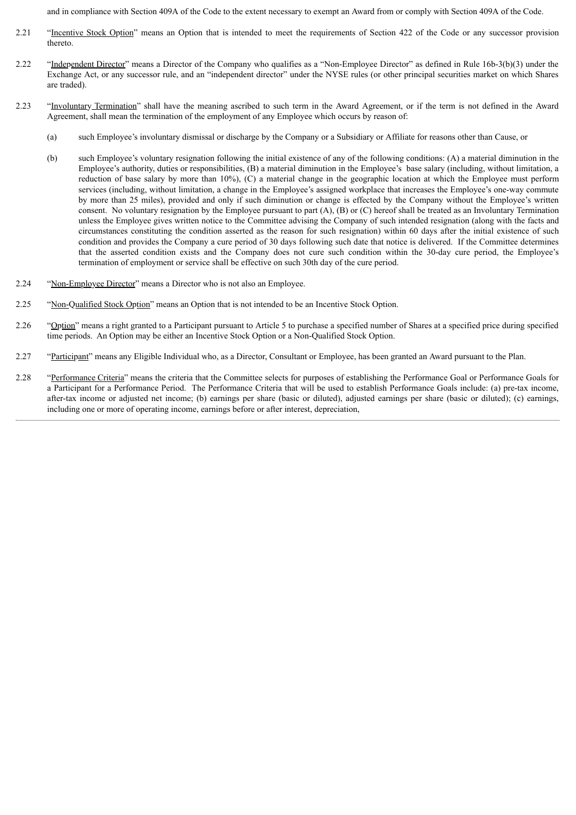and in compliance with Section 409A of the Code to the extent necessary to exempt an Award from or comply with Section 409A of the Code.

- 2.21 "Incentive Stock Option" means an Option that is intended to meet the requirements of Section 422 of the Code or any successor provision thereto.
- 2.22 "Independent Director" means a Director of the Company who qualifies as a "Non-Employee Director" as defined in Rule 16b-3(b)(3) under the Exchange Act, or any successor rule, and an "independent director" under the NYSE rules (or other principal securities market on which Shares are traded).
- 2.23 "Involuntary Termination" shall have the meaning ascribed to such term in the Award Agreement, or if the term is not defined in the Award Agreement, shall mean the termination of the employment of any Employee which occurs by reason of:
	- (a) such Employee's involuntary dismissal or discharge by the Company or a Subsidiary or Affiliate for reasons other than Cause, or
	- (b) such Employee's voluntary resignation following the initial existence of any of the following conditions: (A) a material diminution in the Employee's authority, duties or responsibilities, (B) a material diminution in the Employee's base salary (including, without limitation, a reduction of base salary by more than 10%), (C) a material change in the geographic location at which the Employee must perform services (including, without limitation, a change in the Employee's assigned workplace that increases the Employee's one-way commute by more than 25 miles), provided and only if such diminution or change is effected by the Company without the Employee's written consent. No voluntary resignation by the Employee pursuant to part (A), (B) or (C) hereof shall be treated as an Involuntary Termination unless the Employee gives written notice to the Committee advising the Company of such intended resignation (along with the facts and circumstances constituting the condition asserted as the reason for such resignation) within 60 days after the initial existence of such condition and provides the Company a cure period of 30 days following such date that notice is delivered. If the Committee determines that the asserted condition exists and the Company does not cure such condition within the 30-day cure period, the Employee's termination of employment or service shall be effective on such 30th day of the cure period.
- 2.24 "Non-Employee Director" means a Director who is not also an Employee.
- 2.25 "Non-Qualified Stock Option" means an Option that is not intended to be an Incentive Stock Option.
- 2.26 "Option" means a right granted to a Participant pursuant to Article 5 to purchase a specified number of Shares at a specified price during specified time periods. An Option may be either an Incentive Stock Option or a Non-Qualified Stock Option.
- 2.27 "Participant" means any Eligible Individual who, as a Director, Consultant or Employee, has been granted an Award pursuant to the Plan.
- 2.28 "Performance Criteria" means the criteria that the Committee selects for purposes of establishing the Performance Goal or Performance Goals for a Participant for a Performance Period. The Performance Criteria that will be used to establish Performance Goals include: (a) pre-tax income, after-tax income or adjusted net income; (b) earnings per share (basic or diluted), adjusted earnings per share (basic or diluted); (c) earnings, including one or more of operating income, earnings before or after interest, depreciation,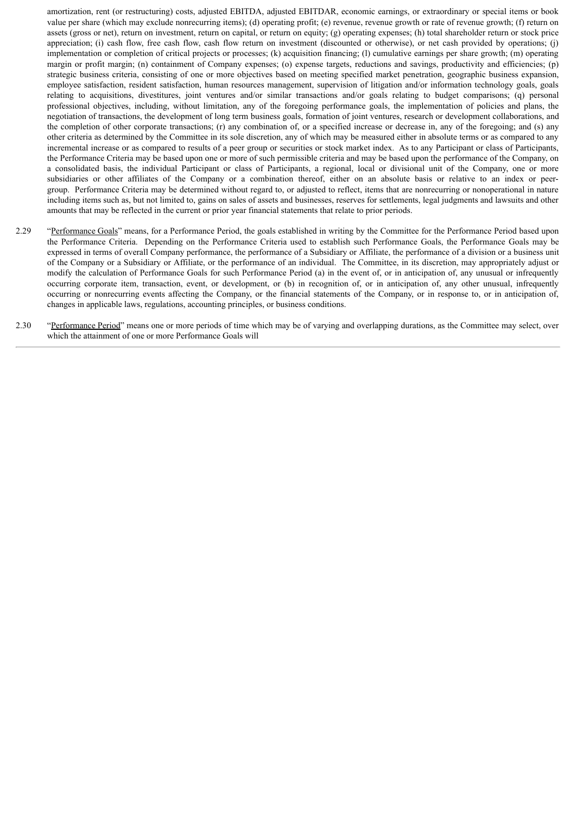amortization, rent (or restructuring) costs, adjusted EBITDA, adjusted EBITDAR, economic earnings, or extraordinary or special items or book value per share (which may exclude nonrecurring items); (d) operating profit; (e) revenue, revenue growth or rate of revenue growth; (f) return on assets (gross or net), return on investment, return on capital, or return on equity; (g) operating expenses; (h) total shareholder return or stock price appreciation; (i) cash flow, free cash flow, cash flow return on investment (discounted or otherwise), or net cash provided by operations; (j) implementation or completion of critical projects or processes; (k) acquisition financing; (l) cumulative earnings per share growth; (m) operating margin or profit margin; (n) containment of Company expenses; (o) expense targets, reductions and savings, productivity and efficiencies; (p) strategic business criteria, consisting of one or more objectives based on meeting specified market penetration, geographic business expansion, employee satisfaction, resident satisfaction, human resources management, supervision of litigation and/or information technology goals, goals relating to acquisitions, divestitures, joint ventures and/or similar transactions and/or goals relating to budget comparisons; (q) personal professional objectives, including, without limitation, any of the foregoing performance goals, the implementation of policies and plans, the negotiation of transactions, the development of long term business goals, formation of joint ventures, research or development collaborations, and the completion of other corporate transactions; (r) any combination of, or a specified increase or decrease in, any of the foregoing; and (s) any other criteria as determined by the Committee in its sole discretion, any of which may be measured either in absolute terms or as compared to any incremental increase or as compared to results of a peer group or securities or stock market index. As to any Participant or class of Participants, the Performance Criteria may be based upon one or more of such permissible criteria and may be based upon the performance of the Company, on a consolidated basis, the individual Participant or class of Participants, a regional, local or divisional unit of the Company, one or more subsidiaries or other affiliates of the Company or a combination thereof, either on an absolute basis or relative to an index or peergroup. Performance Criteria may be determined without regard to, or adjusted to reflect, items that are nonrecurring or nonoperational in nature including items such as, but not limited to, gains on sales of assets and businesses, reserves for settlements, legal judgments and lawsuits and other amounts that may be reflected in the current or prior year financial statements that relate to prior periods.

- 2.29 "Performance Goals" means, for a Performance Period, the goals established in writing by the Committee for the Performance Period based upon the Performance Criteria. Depending on the Performance Criteria used to establish such Performance Goals, the Performance Goals may be expressed in terms of overall Company performance, the performance of a Subsidiary or Affiliate, the performance of a division or a business unit of the Company or a Subsidiary or Affiliate, or the performance of an individual. The Committee, in its discretion, may appropriately adjust or modify the calculation of Performance Goals for such Performance Period (a) in the event of, or in anticipation of, any unusual or infrequently occurring corporate item, transaction, event, or development, or (b) in recognition of, or in anticipation of, any other unusual, infrequently occurring or nonrecurring events affecting the Company, or the financial statements of the Company, or in response to, or in anticipation of, changes in applicable laws, regulations, accounting principles, or business conditions.
- 2.30 "Performance Period" means one or more periods of time which may be of varying and overlapping durations, as the Committee may select, over which the attainment of one or more Performance Goals will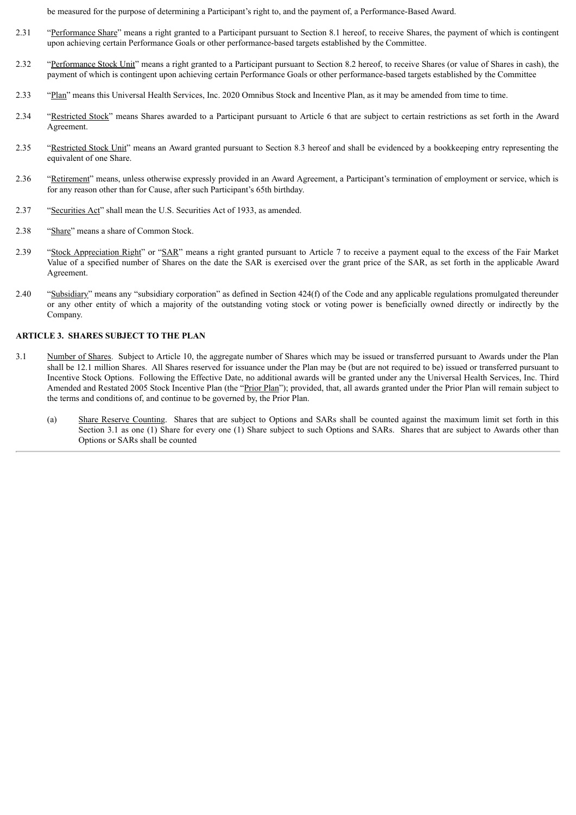be measured for the purpose of determining a Participant's right to, and the payment of, a Performance-Based Award.

- 2.31 "Performance Share" means a right granted to a Participant pursuant to Section 8.1 hereof, to receive Shares, the payment of which is contingent upon achieving certain Performance Goals or other performance-based targets established by the Committee.
- 2.32 "Performance Stock Unit" means a right granted to a Participant pursuant to Section 8.2 hereof, to receive Shares (or value of Shares in cash), the payment of which is contingent upon achieving certain Performance Goals or other performance-based targets established by the Committee
- 2.33 "Plan" means this Universal Health Services, Inc. 2020 Omnibus Stock and Incentive Plan, as it may be amended from time to time.
- 2.34 "Restricted Stock" means Shares awarded to a Participant pursuant to Article 6 that are subject to certain restrictions as set forth in the Award Agreement.
- 2.35 "Restricted Stock Unit" means an Award granted pursuant to Section 8.3 hereof and shall be evidenced by a bookkeeping entry representing the equivalent of one Share.
- 2.36 "Retirement" means, unless otherwise expressly provided in an Award Agreement, a Participant's termination of employment or service, which is for any reason other than for Cause, after such Participant's 65th birthday.
- 2.37 "Securities Act" shall mean the U.S. Securities Act of 1933, as amended.
- 2.38 "Share" means a share of Common Stock.
- 2.39 "Stock Appreciation Right" or "SAR" means a right granted pursuant to Article 7 to receive a payment equal to the excess of the Fair Market Value of a specified number of Shares on the date the SAR is exercised over the grant price of the SAR, as set forth in the applicable Award Agreement.
- 2.40 "Subsidiary" means any "subsidiary corporation" as defined in Section 424(f) of the Code and any applicable regulations promulgated thereunder or any other entity of which a majority of the outstanding voting stock or voting power is beneficially owned directly or indirectly by the Company.

## **ARTICLE 3. SHARES SUBJECT TO THE PLAN**

- 3.1 Number of Shares. Subject to Article 10, the aggregate number of Shares which may be issued or transferred pursuant to Awards under the Plan shall be 12.1 million Shares. All Shares reserved for issuance under the Plan may be (but are not required to be) issued or transferred pursuant to Incentive Stock Options. Following the Effective Date, no additional awards will be granted under any the Universal Health Services, Inc. Third Amended and Restated 2005 Stock Incentive Plan (the "Prior Plan"); provided, that, all awards granted under the Prior Plan will remain subject to the terms and conditions of, and continue to be governed by, the Prior Plan.
	- (a) Share Reserve Counting. Shares that are subject to Options and SARs shall be counted against the maximum limit set forth in this Section 3.1 as one (1) Share for every one (1) Share subject to such Options and SARs. Shares that are subject to Awards other than Options or SARs shall be counted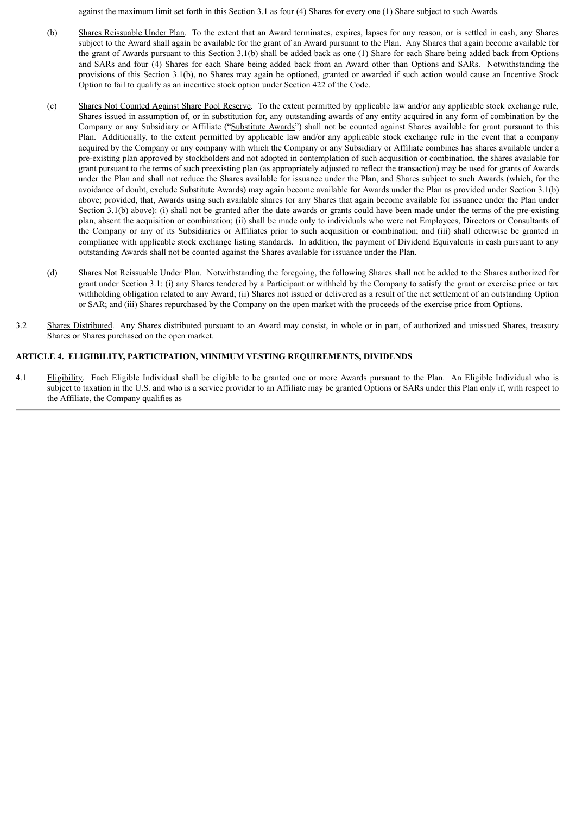against the maximum limit set forth in this Section 3.1 as four (4) Shares for every one (1) Share subject to such Awards.

- (b) Shares Reissuable Under Plan. To the extent that an Award terminates, expires, lapses for any reason, or is settled in cash, any Shares subject to the Award shall again be available for the grant of an Award pursuant to the Plan. Any Shares that again become available for the grant of Awards pursuant to this Section 3.1(b) shall be added back as one (1) Share for each Share being added back from Options and SARs and four (4) Shares for each Share being added back from an Award other than Options and SARs. Notwithstanding the provisions of this Section 3.1(b), no Shares may again be optioned, granted or awarded if such action would cause an Incentive Stock Option to fail to qualify as an incentive stock option under Section 422 of the Code.
- (c) Shares Not Counted Against Share Pool Reserve. To the extent permitted by applicable law and/or any applicable stock exchange rule, Shares issued in assumption of, or in substitution for, any outstanding awards of any entity acquired in any form of combination by the Company or any Subsidiary or Affiliate ("Substitute Awards") shall not be counted against Shares available for grant pursuant to this Plan. Additionally, to the extent permitted by applicable law and/or any applicable stock exchange rule in the event that a company acquired by the Company or any company with which the Company or any Subsidiary or Affiliate combines has shares available under a pre-existing plan approved by stockholders and not adopted in contemplation of such acquisition or combination, the shares available for grant pursuant to the terms of such preexisting plan (as appropriately adjusted to reflect the transaction) may be used for grants of Awards under the Plan and shall not reduce the Shares available for issuance under the Plan, and Shares subject to such Awards (which, for the avoidance of doubt, exclude Substitute Awards) may again become available for Awards under the Plan as provided under Section 3.1(b) above; provided, that, Awards using such available shares (or any Shares that again become available for issuance under the Plan under Section 3.1(b) above): (i) shall not be granted after the date awards or grants could have been made under the terms of the pre-existing plan, absent the acquisition or combination; (ii) shall be made only to individuals who were not Employees, Directors or Consultants of the Company or any of its Subsidiaries or Affiliates prior to such acquisition or combination; and (iii) shall otherwise be granted in compliance with applicable stock exchange listing standards. In addition, the payment of Dividend Equivalents in cash pursuant to any outstanding Awards shall not be counted against the Shares available for issuance under the Plan.
- (d) Shares Not Reissuable Under Plan. Notwithstanding the foregoing, the following Shares shall not be added to the Shares authorized for grant under Section 3.1: (i) any Shares tendered by a Participant or withheld by the Company to satisfy the grant or exercise price or tax withholding obligation related to any Award; (ii) Shares not issued or delivered as a result of the net settlement of an outstanding Option or SAR; and (iii) Shares repurchased by the Company on the open market with the proceeds of the exercise price from Options.
- 3.2 Shares Distributed. Any Shares distributed pursuant to an Award may consist, in whole or in part, of authorized and unissued Shares, treasury Shares or Shares purchased on the open market.

## **ARTICLE 4. ELIGIBILITY, PARTICIPATION, MINIMUM VESTING REQUIREMENTS, DIVIDENDS**

4.1 Eligibility. Each Eligible Individual shall be eligible to be granted one or more Awards pursuant to the Plan. An Eligible Individual who is subject to taxation in the U.S. and who is a service provider to an Affiliate may be granted Options or SARs under this Plan only if, with respect to the Affiliate, the Company qualifies as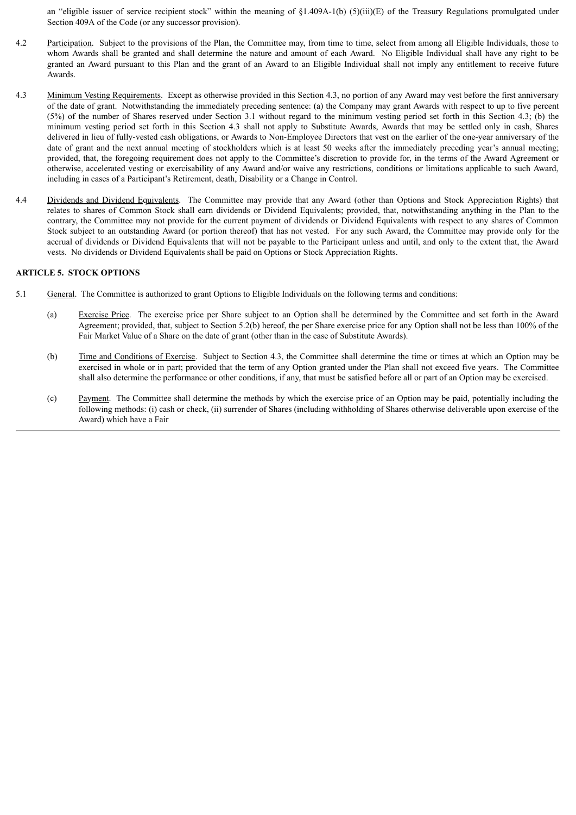an "eligible issuer of service recipient stock" within the meaning of  $\S1.409A-1(b)$  (5)(iii)(E) of the Treasury Regulations promulgated under Section 409A of the Code (or any successor provision).

- 4.2 Participation. Subject to the provisions of the Plan, the Committee may, from time to time, select from among all Eligible Individuals, those to whom Awards shall be granted and shall determine the nature and amount of each Award. No Eligible Individual shall have any right to be granted an Award pursuant to this Plan and the grant of an Award to an Eligible Individual shall not imply any entitlement to receive future Awards.
- 4.3 Minimum Vesting Requirements. Except as otherwise provided in this Section 4.3, no portion of any Award may vest before the first anniversary of the date of grant. Notwithstanding the immediately preceding sentence: (a) the Company may grant Awards with respect to up to five percent (5%) of the number of Shares reserved under Section 3.1 without regard to the minimum vesting period set forth in this Section 4.3; (b) the minimum vesting period set forth in this Section 4.3 shall not apply to Substitute Awards, Awards that may be settled only in cash, Shares delivered in lieu of fully-vested cash obligations, or Awards to Non-Employee Directors that vest on the earlier of the one-year anniversary of the date of grant and the next annual meeting of stockholders which is at least 50 weeks after the immediately preceding year's annual meeting; provided, that, the foregoing requirement does not apply to the Committee's discretion to provide for, in the terms of the Award Agreement or otherwise, accelerated vesting or exercisability of any Award and/or waive any restrictions, conditions or limitations applicable to such Award, including in cases of a Participant's Retirement, death, Disability or a Change in Control.
- 4.4 Dividends and Dividend Equivalents. The Committee may provide that any Award (other than Options and Stock Appreciation Rights) that relates to shares of Common Stock shall earn dividends or Dividend Equivalents; provided, that, notwithstanding anything in the Plan to the contrary, the Committee may not provide for the current payment of dividends or Dividend Equivalents with respect to any shares of Common Stock subject to an outstanding Award (or portion thereof) that has not vested. For any such Award, the Committee may provide only for the accrual of dividends or Dividend Equivalents that will not be payable to the Participant unless and until, and only to the extent that, the Award vests. No dividends or Dividend Equivalents shall be paid on Options or Stock Appreciation Rights.

## **ARTICLE 5. STOCK OPTIONS**

- 5.1 General. The Committee is authorized to grant Options to Eligible Individuals on the following terms and conditions:
	- (a) Exercise Price. The exercise price per Share subject to an Option shall be determined by the Committee and set forth in the Award Agreement; provided, that, subject to Section 5.2(b) hereof, the per Share exercise price for any Option shall not be less than 100% of the Fair Market Value of a Share on the date of grant (other than in the case of Substitute Awards).
	- (b) Time and Conditions of Exercise. Subject to Section 4.3, the Committee shall determine the time or times at which an Option may be exercised in whole or in part; provided that the term of any Option granted under the Plan shall not exceed five years. The Committee shall also determine the performance or other conditions, if any, that must be satisfied before all or part of an Option may be exercised.
	- (c) Payment. The Committee shall determine the methods by which the exercise price of an Option may be paid, potentially including the following methods: (i) cash or check, (ii) surrender of Shares (including withholding of Shares otherwise deliverable upon exercise of the Award) which have a Fair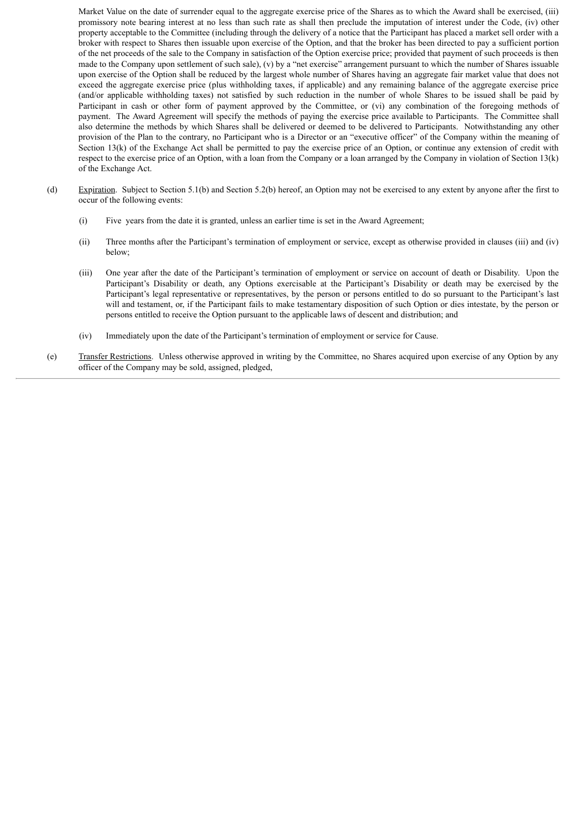Market Value on the date of surrender equal to the aggregate exercise price of the Shares as to which the Award shall be exercised, (iii) promissory note bearing interest at no less than such rate as shall then preclude the imputation of interest under the Code, (iv) other property acceptable to the Committee (including through the delivery of a notice that the Participant has placed a market sell order with a broker with respect to Shares then issuable upon exercise of the Option, and that the broker has been directed to pay a sufficient portion of the net proceeds of the sale to the Company in satisfaction of the Option exercise price; provided that payment of such proceeds is then made to the Company upon settlement of such sale), (v) by a "net exercise" arrangement pursuant to which the number of Shares issuable upon exercise of the Option shall be reduced by the largest whole number of Shares having an aggregate fair market value that does not exceed the aggregate exercise price (plus withholding taxes, if applicable) and any remaining balance of the aggregate exercise price (and/or applicable withholding taxes) not satisfied by such reduction in the number of whole Shares to be issued shall be paid by Participant in cash or other form of payment approved by the Committee, or (vi) any combination of the foregoing methods of payment. The Award Agreement will specify the methods of paying the exercise price available to Participants. The Committee shall also determine the methods by which Shares shall be delivered or deemed to be delivered to Participants. Notwithstanding any other provision of the Plan to the contrary, no Participant who is a Director or an "executive officer" of the Company within the meaning of Section 13(k) of the Exchange Act shall be permitted to pay the exercise price of an Option, or continue any extension of credit with respect to the exercise price of an Option, with a loan from the Company or a loan arranged by the Company in violation of Section 13(k) of the Exchange Act.

- (d) Expiration. Subject to Section 5.1(b) and Section 5.2(b) hereof, an Option may not be exercised to any extent by anyone after the first to occur of the following events:
	- (i) Five years from the date it is granted, unless an earlier time is set in the Award Agreement;
	- (ii) Three months after the Participant's termination of employment or service, except as otherwise provided in clauses (iii) and (iv) below;
	- (iii) One year after the date of the Participant's termination of employment or service on account of death or Disability. Upon the Participant's Disability or death, any Options exercisable at the Participant's Disability or death may be exercised by the Participant's legal representative or representatives, by the person or persons entitled to do so pursuant to the Participant's last will and testament, or, if the Participant fails to make testamentary disposition of such Option or dies intestate, by the person or persons entitled to receive the Option pursuant to the applicable laws of descent and distribution; and
	- (iv) Immediately upon the date of the Participant's termination of employment or service for Cause.
- (e) Transfer Restrictions. Unless otherwise approved in writing by the Committee, no Shares acquired upon exercise of any Option by any officer of the Company may be sold, assigned, pledged,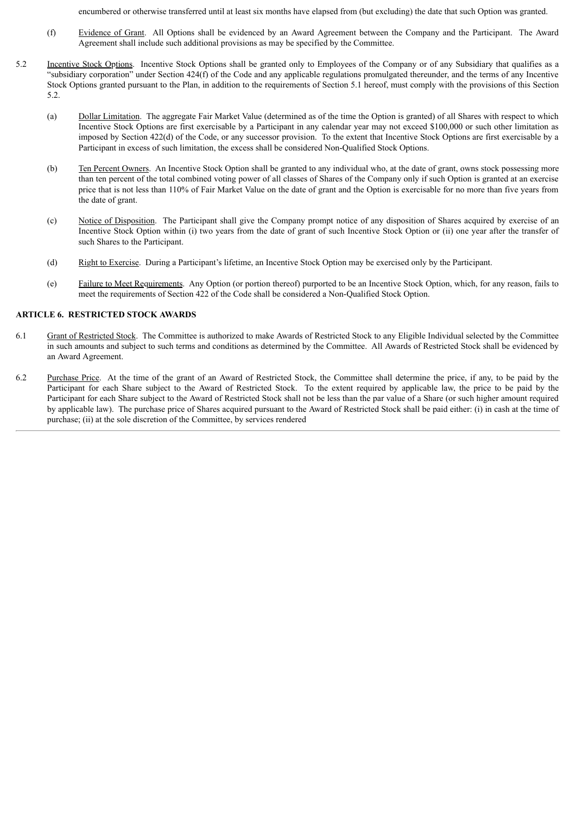encumbered or otherwise transferred until at least six months have elapsed from (but excluding) the date that such Option was granted.

- (f) Evidence of Grant. All Options shall be evidenced by an Award Agreement between the Company and the Participant. The Award Agreement shall include such additional provisions as may be specified by the Committee.
- 5.2 Incentive Stock Options. Incentive Stock Options shall be granted only to Employees of the Company or of any Subsidiary that qualifies as a "subsidiary corporation" under Section 424(f) of the Code and any applicable regulations promulgated thereunder, and the terms of any Incentive Stock Options granted pursuant to the Plan, in addition to the requirements of Section 5.1 hereof, must comply with the provisions of this Section 5.2.
	- (a) Dollar Limitation. The aggregate Fair Market Value (determined as of the time the Option is granted) of all Shares with respect to which Incentive Stock Options are first exercisable by a Participant in any calendar year may not exceed \$100,000 or such other limitation as imposed by Section 422(d) of the Code, or any successor provision. To the extent that Incentive Stock Options are first exercisable by a Participant in excess of such limitation, the excess shall be considered Non-Qualified Stock Options.
	- (b) Ten Percent Owners. An Incentive Stock Option shall be granted to any individual who, at the date of grant, owns stock possessing more than ten percent of the total combined voting power of all classes of Shares of the Company only if such Option is granted at an exercise price that is not less than 110% of Fair Market Value on the date of grant and the Option is exercisable for no more than five years from the date of grant.
	- (c) Notice of Disposition. The Participant shall give the Company prompt notice of any disposition of Shares acquired by exercise of an Incentive Stock Option within (i) two years from the date of grant of such Incentive Stock Option or (ii) one year after the transfer of such Shares to the Participant.
	- (d) Right to Exercise. During a Participant's lifetime, an Incentive Stock Option may be exercised only by the Participant.
	- (e) Failure to Meet Requirements. Any Option (or portion thereof) purported to be an Incentive Stock Option, which, for any reason, fails to meet the requirements of Section 422 of the Code shall be considered a Non-Qualified Stock Option.

## **ARTICLE 6. RESTRICTED STOCK AWARDS**

- 6.1 Grant of Restricted Stock. The Committee is authorized to make Awards of Restricted Stock to any Eligible Individual selected by the Committee in such amounts and subject to such terms and conditions as determined by the Committee. All Awards of Restricted Stock shall be evidenced by an Award Agreement.
- 6.2 Purchase Price. At the time of the grant of an Award of Restricted Stock, the Committee shall determine the price, if any, to be paid by the Participant for each Share subject to the Award of Restricted Stock. To the extent required by applicable law, the price to be paid by the Participant for each Share subject to the Award of Restricted Stock shall not be less than the par value of a Share (or such higher amount required by applicable law). The purchase price of Shares acquired pursuant to the Award of Restricted Stock shall be paid either: (i) in cash at the time of purchase; (ii) at the sole discretion of the Committee, by services rendered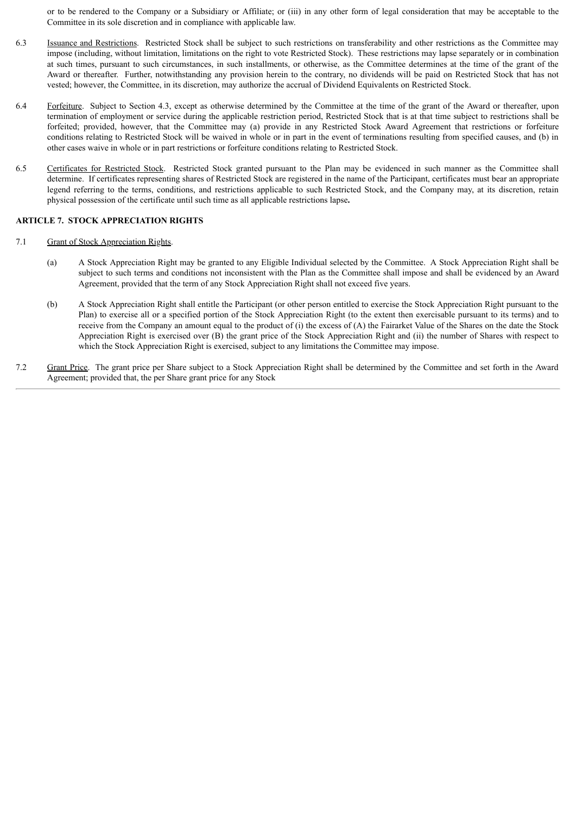or to be rendered to the Company or a Subsidiary or Affiliate; or (iii) in any other form of legal consideration that may be acceptable to the Committee in its sole discretion and in compliance with applicable law.

- 6.3 Issuance and Restrictions. Restricted Stock shall be subject to such restrictions on transferability and other restrictions as the Committee may impose (including, without limitation, limitations on the right to vote Restricted Stock). These restrictions may lapse separately or in combination at such times, pursuant to such circumstances, in such installments, or otherwise, as the Committee determines at the time of the grant of the Award or thereafter. Further, notwithstanding any provision herein to the contrary, no dividends will be paid on Restricted Stock that has not vested; however, the Committee, in its discretion, may authorize the accrual of Dividend Equivalents on Restricted Stock.
- 6.4 Forfeiture. Subject to Section 4.3, except as otherwise determined by the Committee at the time of the grant of the Award or thereafter, upon termination of employment or service during the applicable restriction period, Restricted Stock that is at that time subject to restrictions shall be forfeited; provided, however, that the Committee may (a) provide in any Restricted Stock Award Agreement that restrictions or forfeiture conditions relating to Restricted Stock will be waived in whole or in part in the event of terminations resulting from specified causes, and (b) in other cases waive in whole or in part restrictions or forfeiture conditions relating to Restricted Stock.
- 6.5 Certificates for Restricted Stock. Restricted Stock granted pursuant to the Plan may be evidenced in such manner as the Committee shall determine. If certificates representing shares of Restricted Stock are registered in the name of the Participant, certificates must bear an appropriate legend referring to the terms, conditions, and restrictions applicable to such Restricted Stock, and the Company may, at its discretion, retain physical possession of the certificate until such time as all applicable restrictions lapse**.**

## **ARTICLE 7. STOCK APPRECIATION RIGHTS**

- 7.1 Grant of Stock Appreciation Rights.
	- (a) A Stock Appreciation Right may be granted to any Eligible Individual selected by the Committee. A Stock Appreciation Right shall be subject to such terms and conditions not inconsistent with the Plan as the Committee shall impose and shall be evidenced by an Award Agreement, provided that the term of any Stock Appreciation Right shall not exceed five years.
	- (b) A Stock Appreciation Right shall entitle the Participant (or other person entitled to exercise the Stock Appreciation Right pursuant to the Plan) to exercise all or a specified portion of the Stock Appreciation Right (to the extent then exercisable pursuant to its terms) and to receive from the Company an amount equal to the product of  $(i)$  the excess of  $(A)$  the Fairarket Value of the Shares on the date the Stock Appreciation Right is exercised over (B) the grant price of the Stock Appreciation Right and (ii) the number of Shares with respect to which the Stock Appreciation Right is exercised, subject to any limitations the Committee may impose.
- 7.2 Grant Price. The grant price per Share subject to a Stock Appreciation Right shall be determined by the Committee and set forth in the Award Agreement; provided that, the per Share grant price for any Stock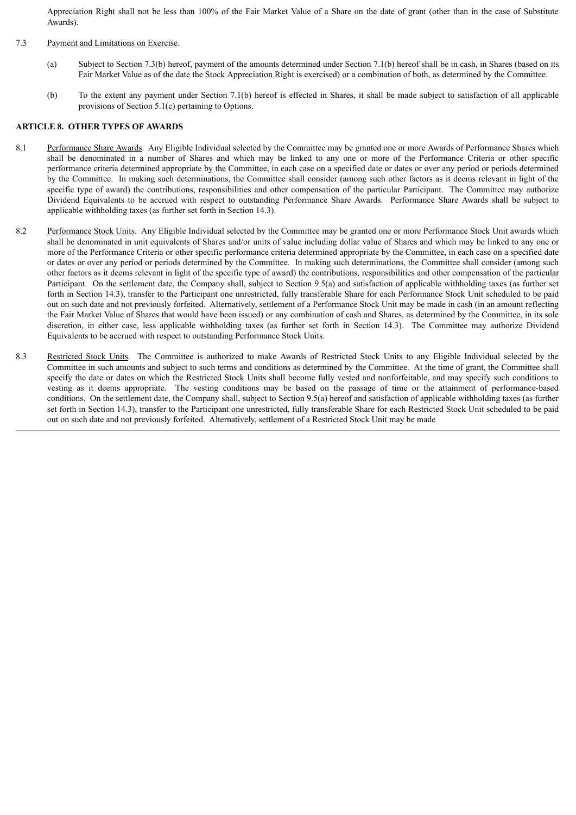Appreciation Right shall not be less than 100% of the Fair Market Value of a Share on the date of grant (other than in the case of Substitute Awards).

#### 7.3 Payment and Limitations on Exercise.

- (a) Subject to Section 7.3(b) hereof, payment of the amounts determined under Section 7.1(b) hereof shall be in cash, in Shares (based on its Fair Market Value as of the date the Stock Appreciation Right is exercised) or a combination of both, as determined by the Committee.
- (b) To the extent any payment under Section 7.1(b) hereof is effected in Shares, it shall be made subject to satisfaction of all applicable provisions of Section 5.1(c) pertaining to Options.

#### **ARTICLE 8. OTHER TYPES OF AWARDS**

- 8.1 Performance Share Awards. Any Eligible Individual selected by the Committee may be granted one or more Awards of Performance Shares which shall be denominated in a number of Shares and which may be linked to any one or more of the Performance Criteria or other specific performance criteria determined appropriate by the Committee, in each case on a specified date or dates or over any period or periods determined by the Committee. In making such determinations, the Committee shall consider (among such other factors as it deems relevant in light of the specific type of award) the contributions, responsibilities and other compensation of the particular Participant. The Committee may authorize Dividend Equivalents to be accrued with respect to outstanding Performance Share Awards. Performance Share Awards shall be subject to applicable withholding taxes (as further set forth in Section 14.3).
- 8.2 Performance Stock Units. Any Eligible Individual selected by the Committee may be granted one or more Performance Stock Unit awards which shall be denominated in unit equivalents of Shares and/or units of value including dollar value of Shares and which may be linked to any one or more of the Performance Criteria or other specific performance criteria determined appropriate by the Committee, in each case on a specified date or dates or over any period or periods determined by the Committee. In making such determinations, the Committee shall consider (among such other factors as it deems relevant in light of the specific type of award) the contributions, responsibilities and other compensation of the particular Participant. On the settlement date, the Company shall, subject to Section 9.5(a) and satisfaction of applicable withholding taxes (as further set forth in Section 14.3), transfer to the Participant one unrestricted, fully transferable Share for each Performance Stock Unit scheduled to be paid out on such date and not previously forfeited. Alternatively, settlement of a Performance Stock Unit may be made in cash (in an amount reflecting the Fair Market Value of Shares that would have been issued) or any combination of cash and Shares, as determined by the Committee, in its sole discretion, in either case, less applicable withholding taxes (as further set forth in Section 14.3). The Committee may authorize Dividend Equivalents to be accrued with respect to outstanding Performance Stock Units.
- 8.3 Restricted Stock Units. The Committee is authorized to make Awards of Restricted Stock Units to any Eligible Individual selected by the Committee in such amounts and subject to such terms and conditions as determined by the Committee. At the time of grant, the Committee shall specify the date or dates on which the Restricted Stock Units shall become fully vested and nonforfeitable, and may specify such conditions to vesting as it deems appropriate. The vesting conditions may be based on the passage of time or the attainment of performance-based conditions. On the settlement date, the Company shall, subject to Section 9.5(a) hereof and satisfaction of applicable withholding taxes (as further set forth in Section 14.3), transfer to the Participant one unrestricted, fully transferable Share for each Restricted Stock Unit scheduled to be paid out on such date and not previously forfeited. Alternatively, settlement of a Restricted Stock Unit may be made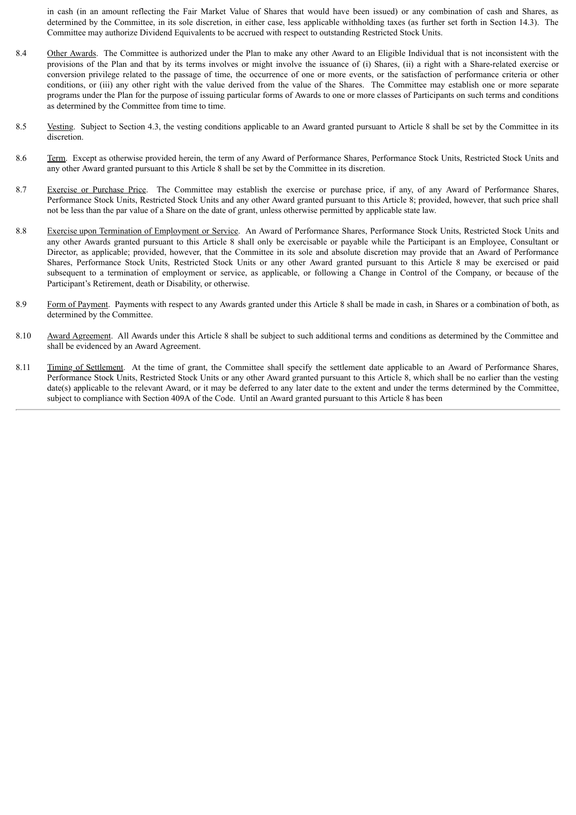in cash (in an amount reflecting the Fair Market Value of Shares that would have been issued) or any combination of cash and Shares, as determined by the Committee, in its sole discretion, in either case, less applicable withholding taxes (as further set forth in Section 14.3). The Committee may authorize Dividend Equivalents to be accrued with respect to outstanding Restricted Stock Units.

- 8.4 Other Awards. The Committee is authorized under the Plan to make any other Award to an Eligible Individual that is not inconsistent with the provisions of the Plan and that by its terms involves or might involve the issuance of (i) Shares, (ii) a right with a Share-related exercise or conversion privilege related to the passage of time, the occurrence of one or more events, or the satisfaction of performance criteria or other conditions, or (iii) any other right with the value derived from the value of the Shares. The Committee may establish one or more separate programs under the Plan for the purpose of issuing particular forms of Awards to one or more classes of Participants on such terms and conditions as determined by the Committee from time to time.
- 8.5 Vesting. Subject to Section 4.3, the vesting conditions applicable to an Award granted pursuant to Article 8 shall be set by the Committee in its discretion.
- 8.6 Term. Except as otherwise provided herein, the term of any Award of Performance Shares, Performance Stock Units, Restricted Stock Units and any other Award granted pursuant to this Article 8 shall be set by the Committee in its discretion.
- 8.7 Exercise or Purchase Price. The Committee may establish the exercise or purchase price, if any, of any Award of Performance Shares, Performance Stock Units, Restricted Stock Units and any other Award granted pursuant to this Article 8; provided, however, that such price shall not be less than the par value of a Share on the date of grant, unless otherwise permitted by applicable state law.
- 8.8 Exercise upon Termination of Employment or Service. An Award of Performance Shares, Performance Stock Units, Restricted Stock Units and any other Awards granted pursuant to this Article 8 shall only be exercisable or payable while the Participant is an Employee, Consultant or Director, as applicable; provided, however, that the Committee in its sole and absolute discretion may provide that an Award of Performance Shares, Performance Stock Units, Restricted Stock Units or any other Award granted pursuant to this Article 8 may be exercised or paid subsequent to a termination of employment or service, as applicable, or following a Change in Control of the Company, or because of the Participant's Retirement, death or Disability, or otherwise.
- 8.9 Form of Payment. Payments with respect to any Awards granted under this Article 8 shall be made in cash, in Shares or a combination of both, as determined by the Committee.
- 8.10 Award Agreement. All Awards under this Article 8 shall be subject to such additional terms and conditions as determined by the Committee and shall be evidenced by an Award Agreement.
- 8.11 Timing of Settlement. At the time of grant, the Committee shall specify the settlement date applicable to an Award of Performance Shares, Performance Stock Units, Restricted Stock Units or any other Award granted pursuant to this Article 8, which shall be no earlier than the vesting date(s) applicable to the relevant Award, or it may be deferred to any later date to the extent and under the terms determined by the Committee, subject to compliance with Section 409A of the Code. Until an Award granted pursuant to this Article 8 has been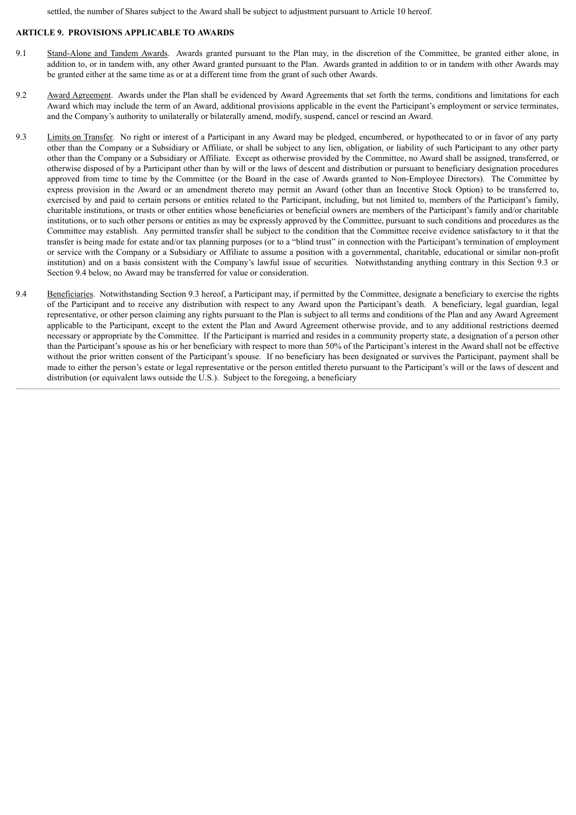settled, the number of Shares subject to the Award shall be subject to adjustment pursuant to Article 10 hereof.

## **ARTICLE 9. PROVISIONS APPLICABLE TO AWARDS**

- 9.1 Stand-Alone and Tandem Awards. Awards granted pursuant to the Plan may, in the discretion of the Committee, be granted either alone, in addition to, or in tandem with, any other Award granted pursuant to the Plan. Awards granted in addition to or in tandem with other Awards may be granted either at the same time as or at a different time from the grant of such other Awards.
- 9.2 Award Agreement. Awards under the Plan shall be evidenced by Award Agreements that set forth the terms, conditions and limitations for each Award which may include the term of an Award, additional provisions applicable in the event the Participant's employment or service terminates, and the Company's authority to unilaterally or bilaterally amend, modify, suspend, cancel or rescind an Award.
- 9.3 Limits on Transfer. No right or interest of a Participant in any Award may be pledged, encumbered, or hypothecated to or in favor of any party other than the Company or a Subsidiary or Affiliate, or shall be subject to any lien, obligation, or liability of such Participant to any other party other than the Company or a Subsidiary or Affiliate. Except as otherwise provided by the Committee, no Award shall be assigned, transferred, or otherwise disposed of by a Participant other than by will or the laws of descent and distribution or pursuant to beneficiary designation procedures approved from time to time by the Committee (or the Board in the case of Awards granted to Non-Employee Directors). The Committee by express provision in the Award or an amendment thereto may permit an Award (other than an Incentive Stock Option) to be transferred to, exercised by and paid to certain persons or entities related to the Participant, including, but not limited to, members of the Participant's family, charitable institutions, or trusts or other entities whose beneficiaries or beneficial owners are members of the Participant's family and/or charitable institutions, or to such other persons or entities as may be expressly approved by the Committee, pursuant to such conditions and procedures as the Committee may establish. Any permitted transfer shall be subject to the condition that the Committee receive evidence satisfactory to it that the transfer is being made for estate and/or tax planning purposes (or to a "blind trust" in connection with the Participant's termination of employment or service with the Company or a Subsidiary or Affiliate to assume a position with a governmental, charitable, educational or similar non-profit institution) and on a basis consistent with the Company's lawful issue of securities. Notwithstanding anything contrary in this Section 9.3 or Section 9.4 below, no Award may be transferred for value or consideration.
- 9.4 Beneficiaries. Notwithstanding Section 9.3 hereof, a Participant may, if permitted by the Committee, designate a beneficiary to exercise the rights of the Participant and to receive any distribution with respect to any Award upon the Participant's death. A beneficiary, legal guardian, legal representative, or other person claiming any rights pursuant to the Plan is subject to all terms and conditions of the Plan and any Award Agreement applicable to the Participant, except to the extent the Plan and Award Agreement otherwise provide, and to any additional restrictions deemed necessary or appropriate by the Committee. If the Participant is married and resides in a community property state, a designation of a person other than the Participant's spouse as his or her beneficiary with respect to more than 50% of the Participant's interest in the Award shall not be effective without the prior written consent of the Participant's spouse. If no beneficiary has been designated or survives the Participant, payment shall be made to either the person's estate or legal representative or the person entitled thereto pursuant to the Participant's will or the laws of descent and distribution (or equivalent laws outside the U.S.). Subject to the foregoing, a beneficiary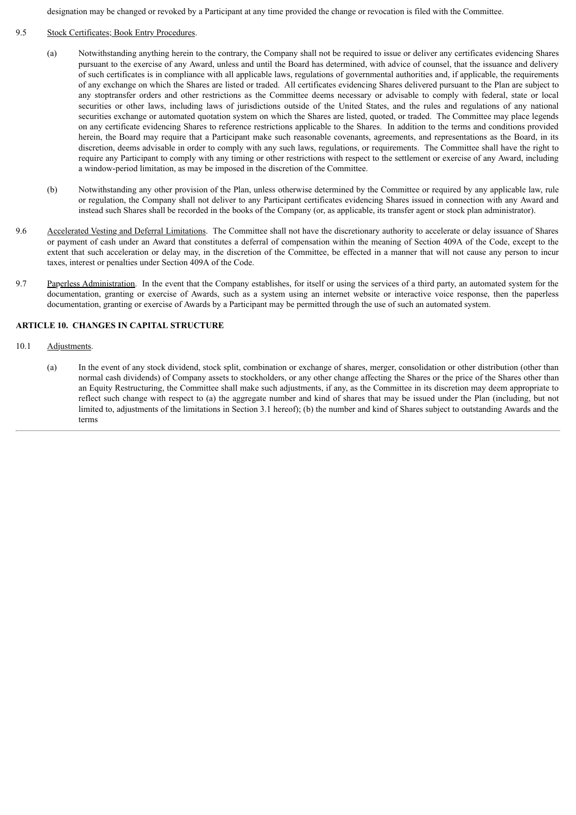designation may be changed or revoked by a Participant at any time provided the change or revocation is filed with the Committee.

#### 9.5 Stock Certificates; Book Entry Procedures.

- (a) Notwithstanding anything herein to the contrary, the Company shall not be required to issue or deliver any certificates evidencing Shares pursuant to the exercise of any Award, unless and until the Board has determined, with advice of counsel, that the issuance and delivery of such certificates is in compliance with all applicable laws, regulations of governmental authorities and, if applicable, the requirements of any exchange on which the Shares are listed or traded. All certificates evidencing Shares delivered pursuant to the Plan are subject to any stoptransfer orders and other restrictions as the Committee deems necessary or advisable to comply with federal, state or local securities or other laws, including laws of jurisdictions outside of the United States, and the rules and regulations of any national securities exchange or automated quotation system on which the Shares are listed, quoted, or traded. The Committee may place legends on any certificate evidencing Shares to reference restrictions applicable to the Shares. In addition to the terms and conditions provided herein, the Board may require that a Participant make such reasonable covenants, agreements, and representations as the Board, in its discretion, deems advisable in order to comply with any such laws, regulations, or requirements. The Committee shall have the right to require any Participant to comply with any timing or other restrictions with respect to the settlement or exercise of any Award, including a window-period limitation, as may be imposed in the discretion of the Committee.
- (b) Notwithstanding any other provision of the Plan, unless otherwise determined by the Committee or required by any applicable law, rule or regulation, the Company shall not deliver to any Participant certificates evidencing Shares issued in connection with any Award and instead such Shares shall be recorded in the books of the Company (or, as applicable, its transfer agent or stock plan administrator).
- 9.6 Accelerated Vesting and Deferral Limitations. The Committee shall not have the discretionary authority to accelerate or delay issuance of Shares or payment of cash under an Award that constitutes a deferral of compensation within the meaning of Section 409A of the Code, except to the extent that such acceleration or delay may, in the discretion of the Committee, be effected in a manner that will not cause any person to incur taxes, interest or penalties under Section 409A of the Code.
- 9.7 Paperless Administration. In the event that the Company establishes, for itself or using the services of a third party, an automated system for the documentation, granting or exercise of Awards, such as a system using an internet website or interactive voice response, then the paperless documentation, granting or exercise of Awards by a Participant may be permitted through the use of such an automated system.

## **ARTICLE 10. CHANGES IN CAPITAL STRUCTURE**

## 10.1 Adjustments.

(a) In the event of any stock dividend, stock split, combination or exchange of shares, merger, consolidation or other distribution (other than normal cash dividends) of Company assets to stockholders, or any other change affecting the Shares or the price of the Shares other than an Equity Restructuring, the Committee shall make such adjustments, if any, as the Committee in its discretion may deem appropriate to reflect such change with respect to (a) the aggregate number and kind of shares that may be issued under the Plan (including, but not limited to, adjustments of the limitations in Section 3.1 hereof); (b) the number and kind of Shares subject to outstanding Awards and the terms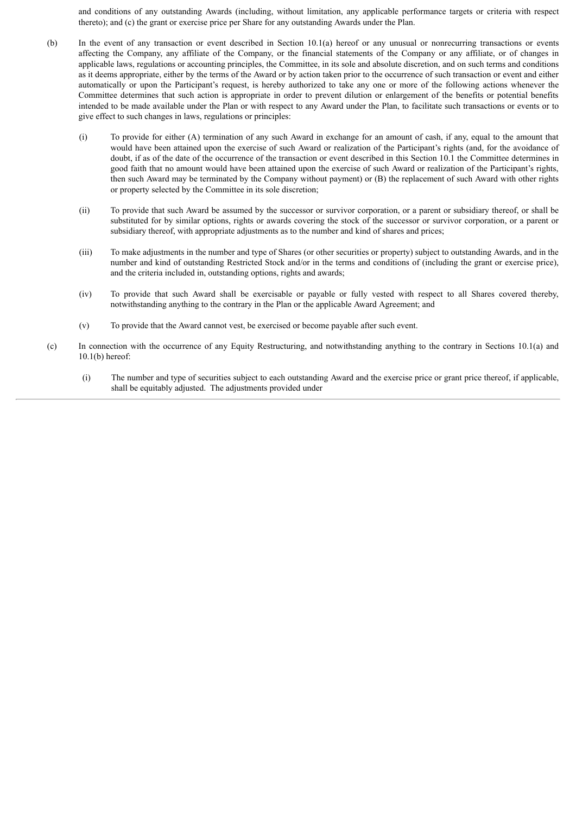and conditions of any outstanding Awards (including, without limitation, any applicable performance targets or criteria with respect thereto); and (c) the grant or exercise price per Share for any outstanding Awards under the Plan.

- (b) In the event of any transaction or event described in Section 10.1(a) hereof or any unusual or nonrecurring transactions or events affecting the Company, any affiliate of the Company, or the financial statements of the Company or any affiliate, or of changes in applicable laws, regulations or accounting principles, the Committee, in its sole and absolute discretion, and on such terms and conditions as it deems appropriate, either by the terms of the Award or by action taken prior to the occurrence of such transaction or event and either automatically or upon the Participant's request, is hereby authorized to take any one or more of the following actions whenever the Committee determines that such action is appropriate in order to prevent dilution or enlargement of the benefits or potential benefits intended to be made available under the Plan or with respect to any Award under the Plan, to facilitate such transactions or events or to give effect to such changes in laws, regulations or principles:
	- (i) To provide for either (A) termination of any such Award in exchange for an amount of cash, if any, equal to the amount that would have been attained upon the exercise of such Award or realization of the Participant's rights (and, for the avoidance of doubt, if as of the date of the occurrence of the transaction or event described in this Section 10.1 the Committee determines in good faith that no amount would have been attained upon the exercise of such Award or realization of the Participant's rights, then such Award may be terminated by the Company without payment) or (B) the replacement of such Award with other rights or property selected by the Committee in its sole discretion;
	- (ii) To provide that such Award be assumed by the successor or survivor corporation, or a parent or subsidiary thereof, or shall be substituted for by similar options, rights or awards covering the stock of the successor or survivor corporation, or a parent or subsidiary thereof, with appropriate adjustments as to the number and kind of shares and prices;
	- (iii) To make adjustments in the number and type of Shares (or other securities or property) subject to outstanding Awards, and in the number and kind of outstanding Restricted Stock and/or in the terms and conditions of (including the grant or exercise price), and the criteria included in, outstanding options, rights and awards;
	- (iv) To provide that such Award shall be exercisable or payable or fully vested with respect to all Shares covered thereby, notwithstanding anything to the contrary in the Plan or the applicable Award Agreement; and
	- (v) To provide that the Award cannot vest, be exercised or become payable after such event.
- (c) In connection with the occurrence of any Equity Restructuring, and notwithstanding anything to the contrary in Sections 10.1(a) and 10.1(b) hereof:
	- (i) The number and type of securities subject to each outstanding Award and the exercise price or grant price thereof, if applicable, shall be equitably adjusted. The adjustments provided under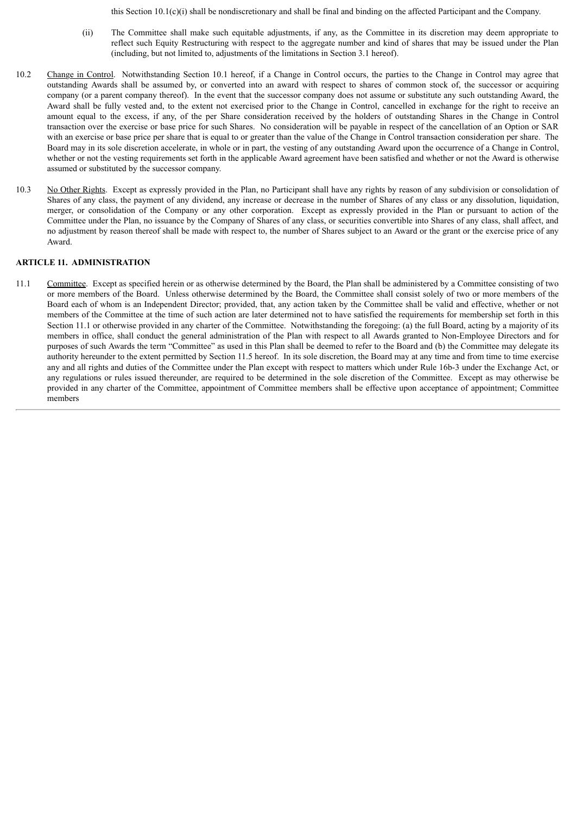this Section 10.1(c)(i) shall be nondiscretionary and shall be final and binding on the affected Participant and the Company.

- (ii) The Committee shall make such equitable adjustments, if any, as the Committee in its discretion may deem appropriate to reflect such Equity Restructuring with respect to the aggregate number and kind of shares that may be issued under the Plan (including, but not limited to, adjustments of the limitations in Section 3.1 hereof).
- 10.2 Change in Control. Notwithstanding Section 10.1 hereof, if a Change in Control occurs, the parties to the Change in Control may agree that outstanding Awards shall be assumed by, or converted into an award with respect to shares of common stock of, the successor or acquiring company (or a parent company thereof). In the event that the successor company does not assume or substitute any such outstanding Award, the Award shall be fully vested and, to the extent not exercised prior to the Change in Control, cancelled in exchange for the right to receive an amount equal to the excess, if any, of the per Share consideration received by the holders of outstanding Shares in the Change in Control transaction over the exercise or base price for such Shares. No consideration will be payable in respect of the cancellation of an Option or SAR with an exercise or base price per share that is equal to or greater than the value of the Change in Control transaction consideration per share. The Board may in its sole discretion accelerate, in whole or in part, the vesting of any outstanding Award upon the occurrence of a Change in Control, whether or not the vesting requirements set forth in the applicable Award agreement have been satisfied and whether or not the Award is otherwise assumed or substituted by the successor company.
- 10.3 No Other Rights. Except as expressly provided in the Plan, no Participant shall have any rights by reason of any subdivision or consolidation of Shares of any class, the payment of any dividend, any increase or decrease in the number of Shares of any class or any dissolution, liquidation, merger, or consolidation of the Company or any other corporation. Except as expressly provided in the Plan or pursuant to action of the Committee under the Plan, no issuance by the Company of Shares of any class, or securities convertible into Shares of any class, shall affect, and no adjustment by reason thereof shall be made with respect to, the number of Shares subject to an Award or the grant or the exercise price of any Award.

## **ARTICLE 11. ADMINISTRATION**

11.1 Committee. Except as specified herein or as otherwise determined by the Board, the Plan shall be administered by a Committee consisting of two or more members of the Board. Unless otherwise determined by the Board, the Committee shall consist solely of two or more members of the Board each of whom is an Independent Director; provided, that, any action taken by the Committee shall be valid and effective, whether or not members of the Committee at the time of such action are later determined not to have satisfied the requirements for membership set forth in this Section 11.1 or otherwise provided in any charter of the Committee. Notwithstanding the foregoing: (a) the full Board, acting by a majority of its members in office, shall conduct the general administration of the Plan with respect to all Awards granted to Non-Employee Directors and for purposes of such Awards the term "Committee" as used in this Plan shall be deemed to refer to the Board and (b) the Committee may delegate its authority hereunder to the extent permitted by Section 11.5 hereof. In its sole discretion, the Board may at any time and from time to time exercise any and all rights and duties of the Committee under the Plan except with respect to matters which under Rule 16b-3 under the Exchange Act, or any regulations or rules issued thereunder, are required to be determined in the sole discretion of the Committee. Except as may otherwise be provided in any charter of the Committee, appointment of Committee members shall be effective upon acceptance of appointment; Committee members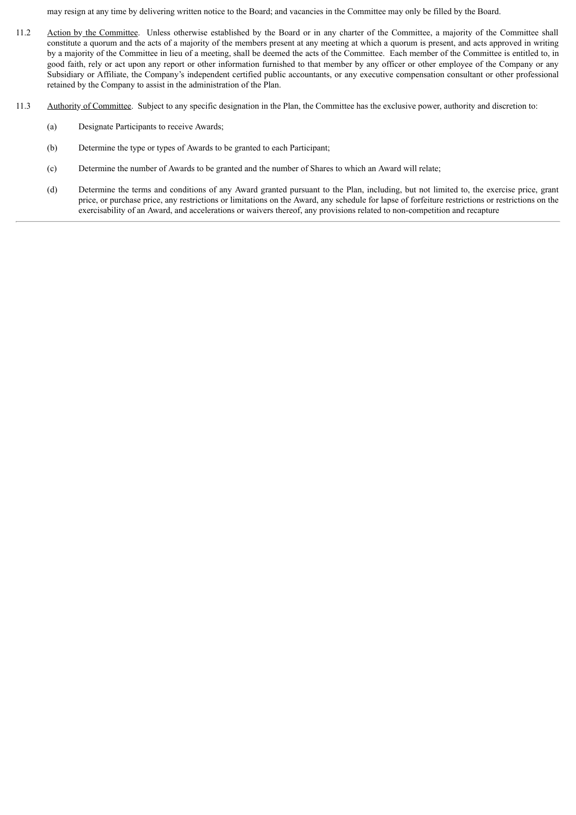may resign at any time by delivering written notice to the Board; and vacancies in the Committee may only be filled by the Board.

- 11.2 Action by the Committee. Unless otherwise established by the Board or in any charter of the Committee, a majority of the Committee shall constitute a quorum and the acts of a majority of the members present at any meeting at which a quorum is present, and acts approved in writing by a majority of the Committee in lieu of a meeting, shall be deemed the acts of the Committee. Each member of the Committee is entitled to, in good faith, rely or act upon any report or other information furnished to that member by any officer or other employee of the Company or any Subsidiary or Affiliate, the Company's independent certified public accountants, or any executive compensation consultant or other professional retained by the Company to assist in the administration of the Plan.
- 11.3 Authority of Committee. Subject to any specific designation in the Plan, the Committee has the exclusive power, authority and discretion to:
	- (a) Designate Participants to receive Awards;
	- (b) Determine the type or types of Awards to be granted to each Participant;
	- (c) Determine the number of Awards to be granted and the number of Shares to which an Award will relate;
	- (d) Determine the terms and conditions of any Award granted pursuant to the Plan, including, but not limited to, the exercise price, grant price, or purchase price, any restrictions or limitations on the Award, any schedule for lapse of forfeiture restrictions or restrictions on the exercisability of an Award, and accelerations or waivers thereof, any provisions related to non-competition and recapture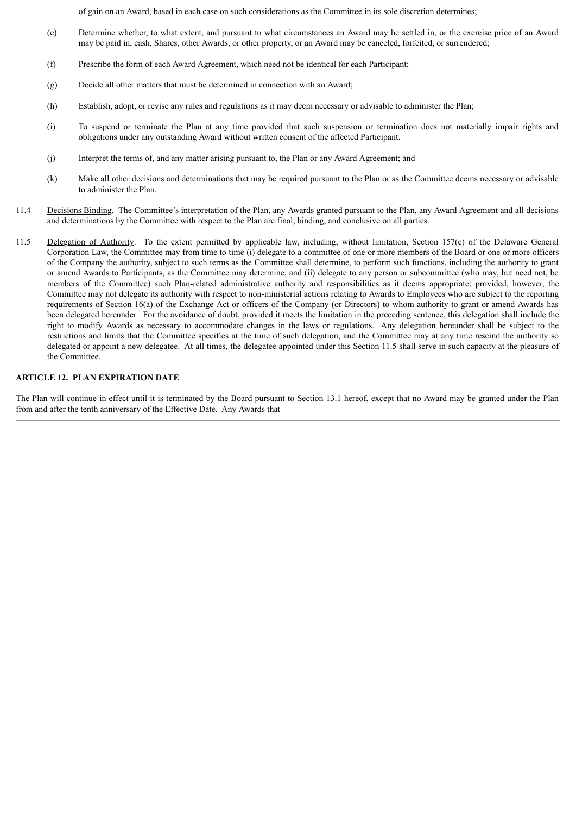of gain on an Award, based in each case on such considerations as the Committee in its sole discretion determines;

- (e) Determine whether, to what extent, and pursuant to what circumstances an Award may be settled in, or the exercise price of an Award may be paid in, cash, Shares, other Awards, or other property, or an Award may be canceled, forfeited, or surrendered;
- (f) Prescribe the form of each Award Agreement, which need not be identical for each Participant;
- (g) Decide all other matters that must be determined in connection with an Award;
- (h) Establish, adopt, or revise any rules and regulations as it may deem necessary or advisable to administer the Plan;
- (i) To suspend or terminate the Plan at any time provided that such suspension or termination does not materially impair rights and obligations under any outstanding Award without written consent of the affected Participant.
- (j) Interpret the terms of, and any matter arising pursuant to, the Plan or any Award Agreement; and
- (k) Make all other decisions and determinations that may be required pursuant to the Plan or as the Committee deems necessary or advisable to administer the Plan.
- 11.4 Decisions Binding. The Committee's interpretation of the Plan, any Awards granted pursuant to the Plan, any Award Agreement and all decisions and determinations by the Committee with respect to the Plan are final, binding, and conclusive on all parties.
- 11.5 Delegation of Authority. To the extent permitted by applicable law, including, without limitation, Section 157(c) of the Delaware General Corporation Law, the Committee may from time to time (i) delegate to a committee of one or more members of the Board or one or more officers of the Company the authority, subject to such terms as the Committee shall determine, to perform such functions, including the authority to grant or amend Awards to Participants, as the Committee may determine, and (ii) delegate to any person or subcommittee (who may, but need not, be members of the Committee) such Plan-related administrative authority and responsibilities as it deems appropriate; provided, however, the Committee may not delegate its authority with respect to non-ministerial actions relating to Awards to Employees who are subject to the reporting requirements of Section 16(a) of the Exchange Act or officers of the Company (or Directors) to whom authority to grant or amend Awards has been delegated hereunder. For the avoidance of doubt, provided it meets the limitation in the preceding sentence, this delegation shall include the right to modify Awards as necessary to accommodate changes in the laws or regulations. Any delegation hereunder shall be subject to the restrictions and limits that the Committee specifies at the time of such delegation, and the Committee may at any time rescind the authority so delegated or appoint a new delegatee. At all times, the delegatee appointed under this Section 11.5 shall serve in such capacity at the pleasure of the Committee.

# **ARTICLE 12. PLAN EXPIRATION DATE**

The Plan will continue in effect until it is terminated by the Board pursuant to Section 13.1 hereof, except that no Award may be granted under the Plan from and after the tenth anniversary of the Effective Date. Any Awards that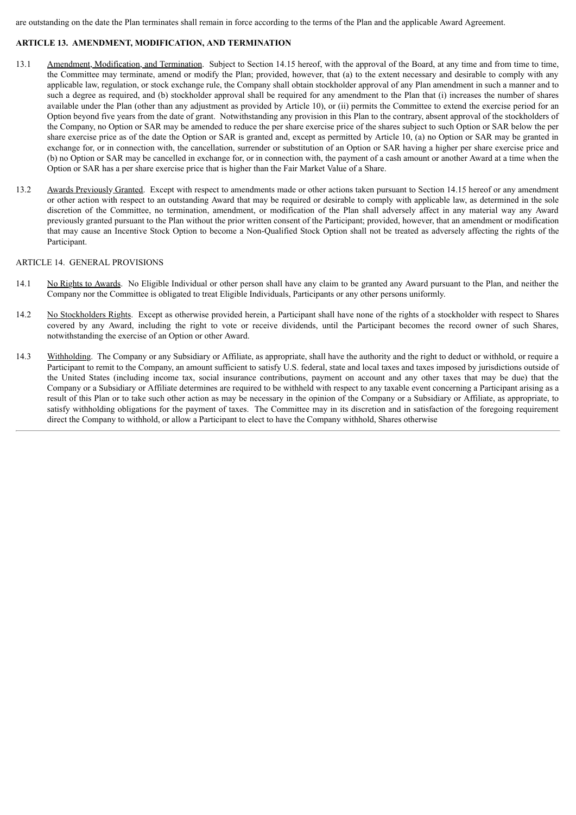are outstanding on the date the Plan terminates shall remain in force according to the terms of the Plan and the applicable Award Agreement.

# **ARTICLE 13. AMENDMENT, MODIFICATION, AND TERMINATION**

- 13.1 Amendment, Modification, and Termination. Subject to Section 14.15 hereof, with the approval of the Board, at any time and from time to time, the Committee may terminate, amend or modify the Plan; provided, however, that (a) to the extent necessary and desirable to comply with any applicable law, regulation, or stock exchange rule, the Company shall obtain stockholder approval of any Plan amendment in such a manner and to such a degree as required, and (b) stockholder approval shall be required for any amendment to the Plan that (i) increases the number of shares available under the Plan (other than any adjustment as provided by Article 10), or (ii) permits the Committee to extend the exercise period for an Option beyond five years from the date of grant. Notwithstanding any provision in this Plan to the contrary, absent approval of the stockholders of the Company, no Option or SAR may be amended to reduce the per share exercise price of the shares subject to such Option or SAR below the per share exercise price as of the date the Option or SAR is granted and, except as permitted by Article 10, (a) no Option or SAR may be granted in exchange for, or in connection with, the cancellation, surrender or substitution of an Option or SAR having a higher per share exercise price and (b) no Option or SAR may be cancelled in exchange for, or in connection with, the payment of a cash amount or another Award at a time when the Option or SAR has a per share exercise price that is higher than the Fair Market Value of a Share.
- 13.2 Awards Previously Granted. Except with respect to amendments made or other actions taken pursuant to Section 14.15 hereof or any amendment or other action with respect to an outstanding Award that may be required or desirable to comply with applicable law, as determined in the sole discretion of the Committee, no termination, amendment, or modification of the Plan shall adversely affect in any material way any Award previously granted pursuant to the Plan without the prior written consent of the Participant; provided, however, that an amendment or modification that may cause an Incentive Stock Option to become a Non-Qualified Stock Option shall not be treated as adversely affecting the rights of the Participant.

## ARTICLE 14. GENERAL PROVISIONS

- 14.1 No Rights to Awards. No Eligible Individual or other person shall have any claim to be granted any Award pursuant to the Plan, and neither the Company nor the Committee is obligated to treat Eligible Individuals, Participants or any other persons uniformly.
- 14.2 No Stockholders Rights. Except as otherwise provided herein, a Participant shall have none of the rights of a stockholder with respect to Shares covered by any Award, including the right to vote or receive dividends, until the Participant becomes the record owner of such Shares, notwithstanding the exercise of an Option or other Award.
- 14.3 Withholding. The Company or any Subsidiary or Affiliate, as appropriate, shall have the authority and the right to deduct or withhold, or require a Participant to remit to the Company, an amount sufficient to satisfy U.S. federal, state and local taxes and taxes imposed by jurisdictions outside of the United States (including income tax, social insurance contributions, payment on account and any other taxes that may be due) that the Company or a Subsidiary or Affiliate determines are required to be withheld with respect to any taxable event concerning a Participant arising as a result of this Plan or to take such other action as may be necessary in the opinion of the Company or a Subsidiary or Affiliate, as appropriate, to satisfy withholding obligations for the payment of taxes. The Committee may in its discretion and in satisfaction of the foregoing requirement direct the Company to withhold, or allow a Participant to elect to have the Company withhold, Shares otherwise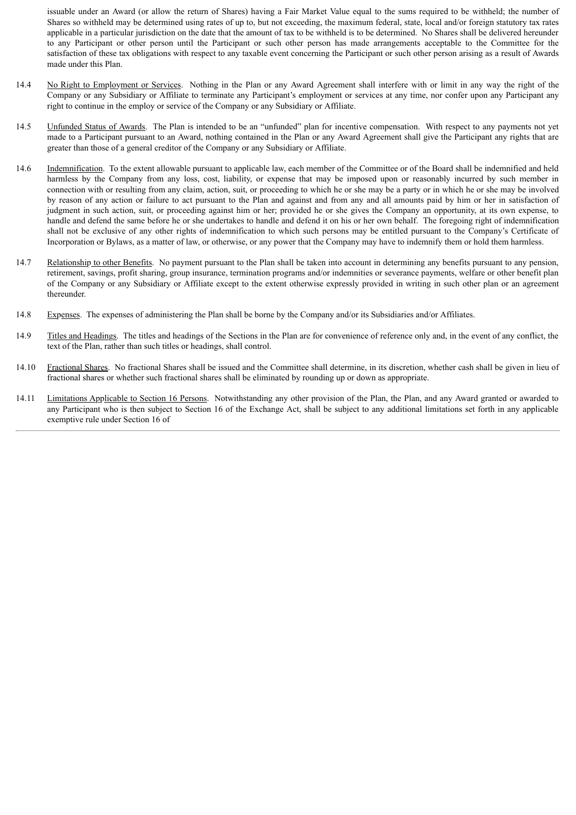issuable under an Award (or allow the return of Shares) having a Fair Market Value equal to the sums required to be withheld; the number of Shares so withheld may be determined using rates of up to, but not exceeding, the maximum federal, state, local and/or foreign statutory tax rates applicable in a particular jurisdiction on the date that the amount of tax to be withheld is to be determined. No Shares shall be delivered hereunder to any Participant or other person until the Participant or such other person has made arrangements acceptable to the Committee for the satisfaction of these tax obligations with respect to any taxable event concerning the Participant or such other person arising as a result of Awards made under this Plan.

- 14.4 No Right to Employment or Services. Nothing in the Plan or any Award Agreement shall interfere with or limit in any way the right of the Company or any Subsidiary or Affiliate to terminate any Participant's employment or services at any time, nor confer upon any Participant any right to continue in the employ or service of the Company or any Subsidiary or Affiliate.
- 14.5 Unfunded Status of Awards. The Plan is intended to be an "unfunded" plan for incentive compensation. With respect to any payments not yet made to a Participant pursuant to an Award, nothing contained in the Plan or any Award Agreement shall give the Participant any rights that are greater than those of a general creditor of the Company or any Subsidiary or Affiliate.
- 14.6 Indemnification. To the extent allowable pursuant to applicable law, each member of the Committee or of the Board shall be indemnified and held harmless by the Company from any loss, cost, liability, or expense that may be imposed upon or reasonably incurred by such member in connection with or resulting from any claim, action, suit, or proceeding to which he or she may be a party or in which he or she may be involved by reason of any action or failure to act pursuant to the Plan and against and from any and all amounts paid by him or her in satisfaction of judgment in such action, suit, or proceeding against him or her; provided he or she gives the Company an opportunity, at its own expense, to handle and defend the same before he or she undertakes to handle and defend it on his or her own behalf. The foregoing right of indemnification shall not be exclusive of any other rights of indemnification to which such persons may be entitled pursuant to the Company's Certificate of Incorporation or Bylaws, as a matter of law, or otherwise, or any power that the Company may have to indemnify them or hold them harmless.
- 14.7 Relationship to other Benefits. No payment pursuant to the Plan shall be taken into account in determining any benefits pursuant to any pension, retirement, savings, profit sharing, group insurance, termination programs and/or indemnities or severance payments, welfare or other benefit plan of the Company or any Subsidiary or Affiliate except to the extent otherwise expressly provided in writing in such other plan or an agreement thereunder.
- 14.8 Expenses. The expenses of administering the Plan shall be borne by the Company and/or its Subsidiaries and/or Affiliates.
- 14.9 Titles and Headings. The titles and headings of the Sections in the Plan are for convenience of reference only and, in the event of any conflict, the text of the Plan, rather than such titles or headings, shall control.
- 14.10 Fractional Shares. No fractional Shares shall be issued and the Committee shall determine, in its discretion, whether cash shall be given in lieu of fractional shares or whether such fractional shares shall be eliminated by rounding up or down as appropriate.
- 14.11 Limitations Applicable to Section 16 Persons. Notwithstanding any other provision of the Plan, the Plan, and any Award granted or awarded to any Participant who is then subject to Section 16 of the Exchange Act, shall be subject to any additional limitations set forth in any applicable exemptive rule under Section 16 of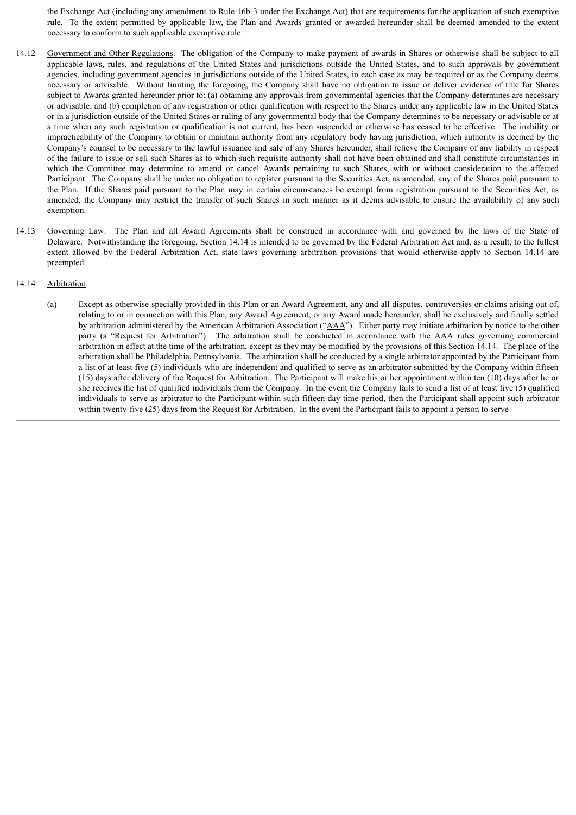the Exchange Act (including any amendment to Rule 16b-3 under the Exchange Act) that are requirements for the application of such exemptive rule. To the extent permitted by applicable law, the Plan and Awards granted or awarded hereunder shall be deemed amended to the extent necessary to conform to such applicable exemptive rule.

- 14.12 Government and Other Regulations. The obligation of the Company to make payment of awards in Shares or otherwise shall be subject to all applicable laws, rules, and regulations of the United States and jurisdictions outside the United States, and to such approvals by government agencies, including government agencies in jurisdictions outside of the United States, in each case as may be required or as the Company deems necessary or advisable. Without limiting the foregoing, the Company shall have no obligation to issue or deliver evidence of title for Shares subject to Awards granted hereunder prior to: (a) obtaining any approvals from governmental agencies that the Company determines are necessary or advisable, and (b) completion of any registration or other qualification with respect to the Shares under any applicable law in the United States or in a jurisdiction outside of the United States or ruling of any governmental body that the Company determines to be necessary or advisable or at a time when any such registration or qualification is not current, has been suspended or otherwise has ceased to be effective. The inability or impracticability of the Company to obtain or maintain authority from any regulatory body having jurisdiction, which authority is deemed by the Company's counsel to be necessary to the lawful issuance and sale of any Shares hereunder, shall relieve the Company of any liability in respect of the failure to issue or sell such Shares as to which such requisite authority shall not have been obtained and shall constitute circumstances in which the Committee may determine to amend or cancel Awards pertaining to such Shares, with or without consideration to the affected Participant. The Company shall be under no obligation to register pursuant to the Securities Act, as amended, any of the Shares paid pursuant to the Plan. If the Shares paid pursuant to the Plan may in certain circumstances be exempt from registration pursuant to the Securities Act, as amended, the Company may restrict the transfer of such Shares in such manner as it deems advisable to ensure the availability of any such exemption.
- 14.13 Governing Law. The Plan and all Award Agreements shall be construed in accordance with and governed by the laws of the State of Delaware. Notwithstanding the foregoing, Section 14.14 is intended to be governed by the Federal Arbitration Act and, as a result, to the fullest extent allowed by the Federal Arbitration Act, state laws governing arbitration provisions that would otherwise apply to Section 14.14 are preempted.

#### 14.14 Arbitration.

(a) Except as otherwise specially provided in this Plan or an Award Agreement, any and all disputes, controversies or claims arising out of, relating to or in connection with this Plan, any Award Agreement, or any Award made hereunder, shall be exclusively and finally settled by arbitration administered by the American Arbitration Association ("AAA"). Either party may initiate arbitration by notice to the other party (a "Request for Arbitration"). The arbitration shall be conducted in accordance with the AAA rules governing commercial arbitration in effect at the time of the arbitration, except as they may be modified by the provisions of this Section 14.14. The place of the arbitration shall be Philadelphia, Pennsylvania. The arbitration shall be conducted by a single arbitrator appointed by the Participant from a list of at least five (5) individuals who are independent and qualified to serve as an arbitrator submitted by the Company within fifteen (15) days after delivery of the Request for Arbitration. The Participant will make his or her appointment within ten (10) days after he or she receives the list of qualified individuals from the Company. In the event the Company fails to send a list of at least five (5) qualified individuals to serve as arbitrator to the Participant within such fifteen-day time period, then the Participant shall appoint such arbitrator within twenty-five (25) days from the Request for Arbitration. In the event the Participant fails to appoint a person to serve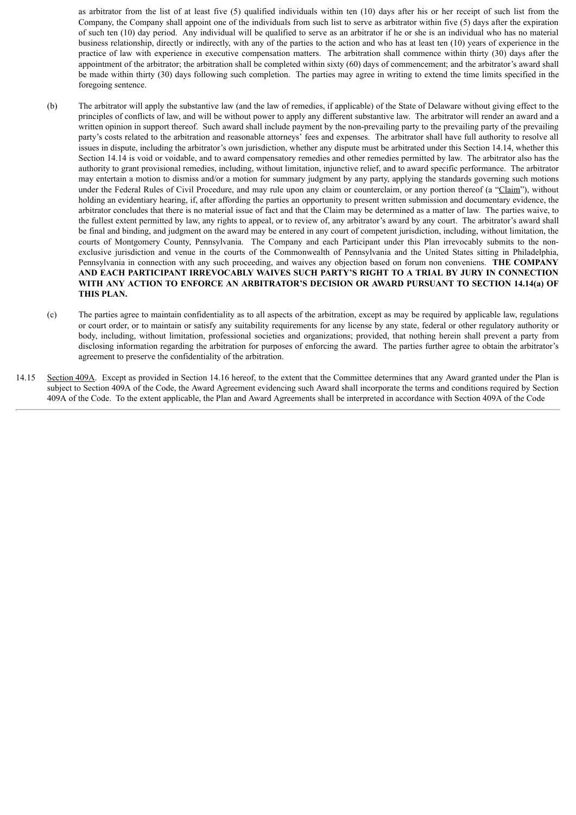as arbitrator from the list of at least five (5) qualified individuals within ten (10) days after his or her receipt of such list from the Company, the Company shall appoint one of the individuals from such list to serve as arbitrator within five (5) days after the expiration of such ten (10) day period. Any individual will be qualified to serve as an arbitrator if he or she is an individual who has no material business relationship, directly or indirectly, with any of the parties to the action and who has at least ten (10) years of experience in the practice of law with experience in executive compensation matters. The arbitration shall commence within thirty (30) days after the appointment of the arbitrator; the arbitration shall be completed within sixty (60) days of commencement; and the arbitrator's award shall be made within thirty (30) days following such completion. The parties may agree in writing to extend the time limits specified in the foregoing sentence.

- (b) The arbitrator will apply the substantive law (and the law of remedies, if applicable) of the State of Delaware without giving effect to the principles of conflicts of law, and will be without power to apply any different substantive law. The arbitrator will render an award and a written opinion in support thereof. Such award shall include payment by the non-prevailing party to the prevailing party of the prevailing party's costs related to the arbitration and reasonable attorneys' fees and expenses. The arbitrator shall have full authority to resolve all issues in dispute, including the arbitrator's own jurisdiction, whether any dispute must be arbitrated under this Section 14.14, whether this Section 14.14 is void or voidable, and to award compensatory remedies and other remedies permitted by law. The arbitrator also has the authority to grant provisional remedies, including, without limitation, injunctive relief, and to award specific performance. The arbitrator may entertain a motion to dismiss and/or a motion for summary judgment by any party, applying the standards governing such motions under the Federal Rules of Civil Procedure, and may rule upon any claim or counterclaim, or any portion thereof (a "Claim"), without holding an evidentiary hearing, if, after affording the parties an opportunity to present written submission and documentary evidence, the arbitrator concludes that there is no material issue of fact and that the Claim may be determined as a matter of law. The parties waive, to the fullest extent permitted by law, any rights to appeal, or to review of, any arbitrator's award by any court. The arbitrator's award shall be final and binding, and judgment on the award may be entered in any court of competent jurisdiction, including, without limitation, the courts of Montgomery County, Pennsylvania. The Company and each Participant under this Plan irrevocably submits to the nonexclusive jurisdiction and venue in the courts of the Commonwealth of Pennsylvania and the United States sitting in Philadelphia, Pennsylvania in connection with any such proceeding, and waives any objection based on forum non conveniens. **THE COMPANY AND EACH PARTICIPANT IRREVOCABLY WAIVES SUCH PARTY'S RIGHT TO A TRIAL BY JURY IN CONNECTION WITH ANY ACTION TO ENFORCE AN ARBITRATOR'S DECISION OR AWARD PURSUANT TO SECTION 14.14(a) OF THIS PLAN.**
- (c) The parties agree to maintain confidentiality as to all aspects of the arbitration, except as may be required by applicable law, regulations or court order, or to maintain or satisfy any suitability requirements for any license by any state, federal or other regulatory authority or body, including, without limitation, professional societies and organizations; provided, that nothing herein shall prevent a party from disclosing information regarding the arbitration for purposes of enforcing the award. The parties further agree to obtain the arbitrator's agreement to preserve the confidentiality of the arbitration.
- 14.15 Section 409A. Except as provided in Section 14.16 hereof, to the extent that the Committee determines that any Award granted under the Plan is subject to Section 409A of the Code, the Award Agreement evidencing such Award shall incorporate the terms and conditions required by Section 409A of the Code. To the extent applicable, the Plan and Award Agreements shall be interpreted in accordance with Section 409A of the Code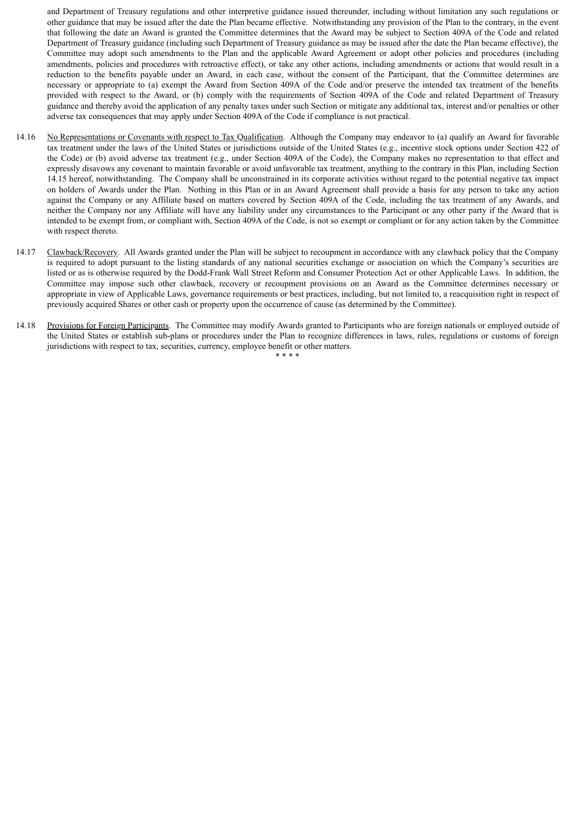and Department of Treasury regulations and other interpretive guidance issued thereunder, including without limitation any such regulations or other guidance that may be issued after the date the Plan became effective. Notwithstanding any provision of the Plan to the contrary, in the event that following the date an Award is granted the Committee determines that the Award may be subject to Section 409A of the Code and related Department of Treasury guidance (including such Department of Treasury guidance as may be issued after the date the Plan became effective), the Committee may adopt such amendments to the Plan and the applicable Award Agreement or adopt other policies and procedures (including amendments, policies and procedures with retroactive effect), or take any other actions, including amendments or actions that would result in a reduction to the benefits payable under an Award, in each case, without the consent of the Participant, that the Committee determines are necessary or appropriate to (a) exempt the Award from Section 409A of the Code and/or preserve the intended tax treatment of the benefits provided with respect to the Award, or (b) comply with the requirements of Section 409A of the Code and related Department of Treasury guidance and thereby avoid the application of any penalty taxes under such Section or mitigate any additional tax, interest and/or penalties or other adverse tax consequences that may apply under Section 409A of the Code if compliance is not practical.

- 14.16 No Representations or Covenants with respect to Tax Qualification. Although the Company may endeavor to (a) qualify an Award for favorable tax treatment under the laws of the United States or jurisdictions outside of the United States (e.g., incentive stock options under Section 422 of the Code) or (b) avoid adverse tax treatment (e.g., under Section 409A of the Code), the Company makes no representation to that effect and expressly disavows any covenant to maintain favorable or avoid unfavorable tax treatment, anything to the contrary in this Plan, including Section 14.15 hereof, notwithstanding. The Company shall be unconstrained in its corporate activities without regard to the potential negative tax impact on holders of Awards under the Plan. Nothing in this Plan or in an Award Agreement shall provide a basis for any person to take any action against the Company or any Affiliate based on matters covered by Section 409A of the Code, including the tax treatment of any Awards, and neither the Company nor any Affiliate will have any liability under any circumstances to the Participant or any other party if the Award that is intended to be exempt from, or compliant with, Section 409A of the Code, is not so exempt or compliant or for any action taken by the Committee with respect thereto.
- 14.17 Clawback/Recovery. All Awards granted under the Plan will be subject to recoupment in accordance with any clawback policy that the Company is required to adopt pursuant to the listing standards of any national securities exchange or association on which the Company's securities are listed or as is otherwise required by the Dodd-Frank Wall Street Reform and Consumer Protection Act or other Applicable Laws. In addition, the Committee may impose such other clawback, recovery or recoupment provisions on an Award as the Committee determines necessary or appropriate in view of Applicable Laws, governance requirements or best practices, including, but not limited to, a reacquisition right in respect of previously acquired Shares or other cash or property upon the occurrence of cause (as determined by the Committee).
- 14.18 Provisions for Foreign Participants. The Committee may modify Awards granted to Participants who are foreign nationals or employed outside of the United States or establish sub-plans or procedures under the Plan to recognize differences in laws, rules, regulations or customs of foreign jurisdictions with respect to tax, securities, currency, employee benefit or other matters.

\* \* \* \*